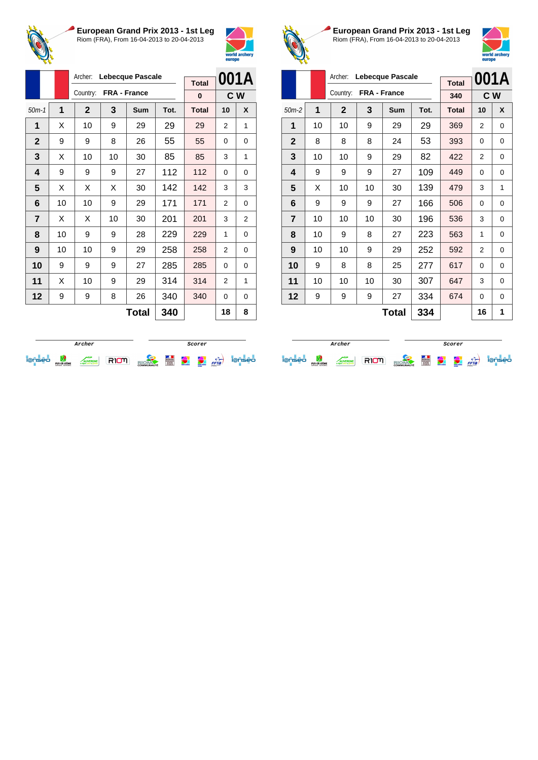



|                |    | Archer:<br>Lebecque Pascale |    |              |      |              |                | 001A           |
|----------------|----|-----------------------------|----|--------------|------|--------------|----------------|----------------|
|                |    |                             |    |              |      | <b>Total</b> |                |                |
|                |    | Country:                    |    | FRA - France |      | 0            | C W            |                |
| $50m-1$        | 1  | $\mathbf{2}$                | 3  | Sum          | Tot. | <b>Total</b> | 10             | X              |
| 1              | X  | 10                          | 9  | 29           | 29   | 29           | 2              | 1              |
| $\mathbf{2}$   | 9  | 9                           | 8  | 26           | 55   | 55           | 0              | 0              |
| 3              | X  | 10                          | 10 | 30           | 85   | 85           | 3              | 1              |
| 4              | 9  | 9                           | 9  | 27           | 112  | 112          | 0              | 0              |
| 5              | X  | X                           | X  | 30           | 142  | 142          | 3              | 3              |
| 6              | 10 | 10                          | 9  | 29           | 171  | 171          | $\overline{2}$ | 0              |
| $\overline{7}$ | X  | X                           | 10 | 30           | 201  | 201          | 3              | $\overline{2}$ |
| 8              | 10 | 9                           | 9  | 28           | 229  | 229          | 1              | 0              |
| 9              | 10 | 10                          | 9  | 29           | 258  | 258          | 2              | 0              |
| 10             | 9  | 9                           | 9  | 27           | 285  | 285          | 0              | 0              |
| 11             | X  | 10                          | 9  | 29           | 314  | 314          | 2              | 1              |
| 12             | 9  | 9                           | 8  | 26           | 340  | 340          | 0              | 0              |
|                |    |                             |    | <b>Total</b> | 340  |              | 18             | 8              |



**European Grand Prix 2013 - 1st Leg** Riom (FRA), From 16-04-2013 to 20-04-2013



|                |    | Archer:      |              |                  | 001A |              |     |          |
|----------------|----|--------------|--------------|------------------|------|--------------|-----|----------|
|                |    |              |              | Lebecque Pascale |      | <b>Total</b> |     |          |
|                |    | Country:     | FRA - France |                  |      | 340          | C W |          |
| $50m-2$        | 1  | $\mathbf{2}$ | 3            | Sum              | Tot. | <b>Total</b> | 10  | X        |
| 1              | 10 | 10           | 9            | 29               | 29   | 369          | 2   | 0        |
| $\mathbf{2}$   | 8  | 8            | 8            | 24               | 53   | 393          | 0   | 0        |
| 3              | 10 | 10           | 9            | 29               | 82   | 422          | 2   | 0        |
| 4              | 9  | 9            | 9            | 27               | 109  | 449          | 0   | 0        |
| 5              | X  | 10           | 10           | 30               | 139  | 479          | 3   | 1        |
| 6              | 9  | 9            | 9            | 27               | 166  | 506          | 0   | 0        |
| $\overline{7}$ | 10 | 10           | 10           | 30               | 196  | 536          | 3   | 0        |
| 8              | 10 | 9            | 8            | 27               | 223  | 563          | 1   | 0        |
| 9              | 10 | 10           | 9            | 29               | 252  | 592          | 2   | $\Omega$ |
| 10             | 9  | 8            | 8            | 25               | 277  | 617          | 0   | $\Omega$ |
| 11             | 10 | 10           | 10           | 30               | 307  | 647          | 3   | $\Omega$ |
| 12             | 9  | 9            | 9            | 27               | 334  | 674          | 0   | $\Omega$ |
|                |    |              |              | Total            | 334  |              | 16  | 1        |

|                                    |                                |               |  | Scorer            |   |              |                                  |      |    |
|------------------------------------|--------------------------------|---------------|--|-------------------|---|--------------|----------------------------------|------|----|
| $\sim$<br>$\overline{\phantom{a}}$ | PUY-DE-DÔME<br>CONSEIL GENERAL | <b>TERGNE</b> |  | <b>COMMUNAUTÉ</b> | Ë | weld and ser | <b>COMMERCE</b><br><b>Horses</b> | FFTa | eо |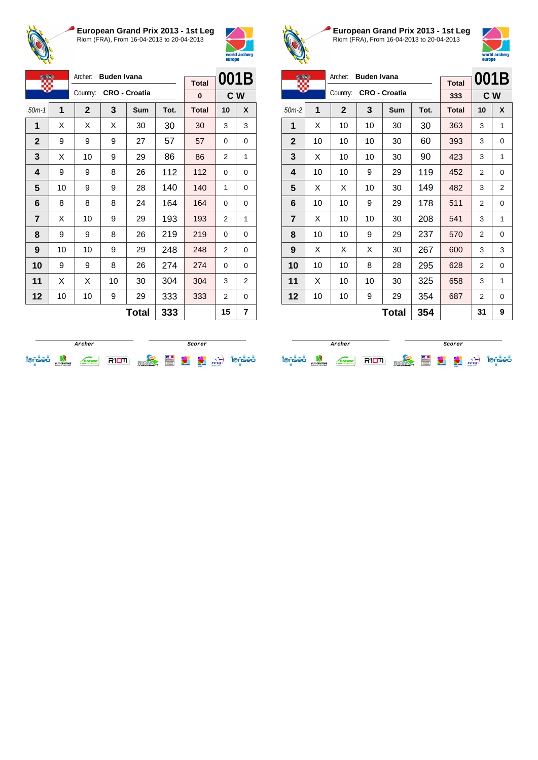



| <b>OF BAR</b>  |    | Archer:     | <b>Buden Ivana</b> |                      |      |              | 001B           |   |
|----------------|----|-------------|--------------------|----------------------|------|--------------|----------------|---|
|                |    | Country:    |                    | <b>CRO - Croatia</b> |      | <b>Total</b> |                |   |
|                |    |             |                    |                      |      | 0            | C W            |   |
| $50m-1$        | 1  | $\mathbf 2$ | 3                  | Sum                  | Tot. | <b>Total</b> | 10             | X |
| 1              | X  | X           | X                  | 30                   | 30   | 30           | 3              | 3 |
| $\mathbf 2$    | 9  | 9           | 9                  | 27                   | 57   | 57           | 0              | 0 |
| 3              | X  | 10          | 9                  | 29                   | 86   | 86           | 2              | 1 |
| 4              | 9  | 9           | 8                  | 26                   | 112  | 112          | $\Omega$       | 0 |
| 5              | 10 | 9           | 9                  | 28                   | 140  | 140          | 1              | 0 |
| 6              | 8  | 8           | 8                  | 24                   | 164  | 164          | 0              | 0 |
| $\overline{7}$ | X  | 10          | 9                  | 29                   | 193  | 193          | $\overline{2}$ | 1 |
| 8              | 9  | 9           | 8                  | 26                   | 219  | 219          | 0              | 0 |
| 9              | 10 | 10          | 9                  | 29                   | 248  | 248          | 2              | 0 |
| 10             | 9  | 9           | 8                  | 26                   | 274  | 274          | 0              | 0 |
| 11             | X  | X           | 10                 | 30                   | 304  | 304          | 3              | 2 |
| 12             | 10 | 10          | 9                  | 29                   | 333  | 333          | 2              | 0 |
|                |    |             |                    | <b>Total</b>         | 333  |              | 15             | 7 |



**European Grand Prix 2013 - 1st Leg** Riom (FRA), From 16-04-2013 to 20-04-2013



|                |    | Archer:     | <b>Buden Ivana</b> |                      |      |              | 001B |                |
|----------------|----|-------------|--------------------|----------------------|------|--------------|------|----------------|
|                |    |             |                    |                      |      | <b>Total</b> |      |                |
|                |    | Country:    |                    | <b>CRO - Croatia</b> |      | 333          | C W  |                |
| $50m-2$        | 1  | $\mathbf 2$ | 3                  | Sum                  | Tot. | <b>Total</b> | 10   | X              |
| 1              | X  | 10          | 10                 | 30                   | 30   | 363          | 3    | 1              |
| $\mathbf{2}$   | 10 | 10          | 10                 | 30                   | 60   | 393          | 3    | 0              |
| 3              | X  | 10          | 10                 | 30                   | 90   | 423          | 3    | 1              |
| 4              | 10 | 10          | 9                  | 29                   | 119  | 452          | 2    | $\Omega$       |
| 5              | X  | X           | 10                 | 30                   | 149  | 482          | 3    | $\overline{2}$ |
| 6              | 10 | 10          | 9                  | 29                   | 178  | 511          | 2    | $\Omega$       |
| $\overline{7}$ | X  | 10          | 10                 | 30                   | 208  | 541          | 3    | 1              |
| 8              | 10 | 10          | 9                  | 29                   | 237  | 570          | 2    | 0              |
| 9              | X  | X           | X                  | 30                   | 267  | 600          | 3    | 3              |
| 10             | 10 | 10          | 8                  | 28                   | 295  | 628          | 2    | 0              |
| 11             | X  | 10          | 10                 | 30                   | 325  | 658          | 3    | 1              |
| 12             | 10 | 10          | 9                  | 29                   | 354  | 687          | 2    | 0              |
|                |    |             |                    | <b>Total</b>         | 354  |              | 31   | 9              |

|                          |                                |  |  | Scorer            |   |              |                                                |      |     |
|--------------------------|--------------------------------|--|--|-------------------|---|--------------|------------------------------------------------|------|-----|
| $\overline{\phantom{a}}$ | PUY-DE-DÔME<br>CONSEIL GENERAL |  |  | <b>COMMUNAUTÉ</b> | Ë | weld and are | <b><i><u>Cold and</u></i></b><br><b>Horses</b> | FFTa | seo |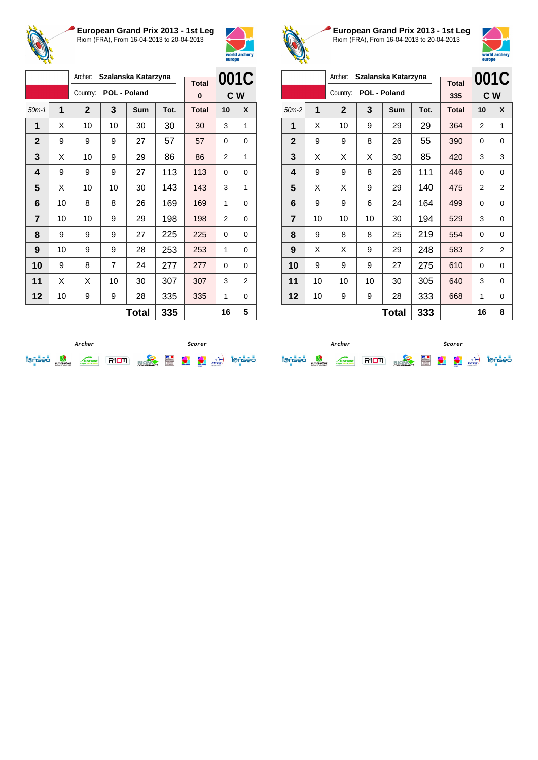



|                |              | Archer:<br>Szalanska Katarzyna |                |              |      |              | 001C     |   |
|----------------|--------------|--------------------------------|----------------|--------------|------|--------------|----------|---|
|                |              | Country:                       |                | POL - Poland |      | <b>Total</b> |          |   |
|                |              |                                |                |              |      | $\bf{0}$     | C W      |   |
| $50m-1$        | $\mathbf{1}$ | $\mathbf{2}$                   | 3              | Sum          | Tot. | <b>Total</b> | 10       | X |
| 1              | X            | 10                             | 10             | 30           | 30   | 30           | 3        | 1 |
| $\mathbf{2}$   | 9            | 9                              | 9              | 27           | 57   | 57           | 0        | 0 |
| 3              | X            | 10                             | 9              | 29           | 86   | 86           | 2        | 1 |
| 4              | 9            | 9                              | 9              | 27           | 113  | 113          | 0        | 0 |
| 5              | X            | 10                             | 10             | 30           | 143  | 143          | 3        | 1 |
| 6              | 10           | 8                              | 8              | 26           | 169  | 169          | 1        | 0 |
| $\overline{7}$ | 10           | 10                             | 9              | 29           | 198  | 198          | 2        | 0 |
| 8              | 9            | 9                              | 9              | 27           | 225  | 225          | 0        | 0 |
| 9              | 10           | 9                              | 9              | 28           | 253  | 253          | 1        | 0 |
| 10             | 9            | 8                              | $\overline{7}$ | 24           | 277  | 277          | $\Omega$ | 0 |
| 11             | X            | X                              | 10             | 30           | 307  | 307          | 3        | 2 |
| 12             | 10           | 9                              | 9              | 28           | 335  | 335          | 1        | 0 |
|                |              |                                |                | <b>Total</b> | 335  |              | 16       | 5 |



**European Grand Prix 2013 - 1st Leg** Riom (FRA), From 16-04-2013 to 20-04-2013



|              |    | Archer:      |    | Szalanska Katarzyna |      |              |    | 001C           |
|--------------|----|--------------|----|---------------------|------|--------------|----|----------------|
|              |    | Country:     |    | POL - Poland        |      | <b>Total</b> |    |                |
|              |    |              |    |                     |      | 335          |    | C W            |
| $50m-2$      | 1  | $\mathbf{2}$ | 3  | Sum                 | Tot. | <b>Total</b> | 10 | X              |
| 1            | X  | 10           | 9  | 29                  | 29   | 364          | 2  | 1              |
| $\mathbf{2}$ | 9  | 9            | 8  | 26                  | 55   | 390          | 0  | 0              |
| 3            | X  | X            | X  | 30                  | 85   | 420          | 3  | 3              |
| 4            | 9  | 9            | 8  | 26                  | 111  | 446          | 0  | 0              |
| 5            | X  | Х            | 9  | 29                  | 140  | 475          | 2  | $\overline{2}$ |
| 6            | 9  | 9            | 6  | 24                  | 164  | 499          | 0  | 0              |
| 7            | 10 | 10           | 10 | 30                  | 194  | 529          | 3  | 0              |
| 8            | 9  | 8            | 8  | 25                  | 219  | 554          | 0  | 0              |
| 9            | X  | X            | 9  | 29                  | 248  | 583          | 2  | $\overline{2}$ |
| 10           | 9  | 9            | 9  | 27                  | 275  | 610          | 0  | 0              |
| 11           | 10 | 10           | 10 | 30                  | 305  | 640          | 3  | 0              |
| 12           | 10 | 9            | 9  | 28                  | 333  | 668          | 1  | 0              |
|              |    |              |    | <b>Total</b>        | 333  |              | 16 | 8              |

|  |                                |                |  | Scorer            |   |              |                                    |      |    |
|--|--------------------------------|----------------|--|-------------------|---|--------------|------------------------------------|------|----|
|  | PUY-DE-DÔME<br>CONSEIL GENERAL | <b>IVERGNE</b> |  | <b>COMMUNAUTÉ</b> | E | world archer | <b>CONTRACTOR</b><br><b>ANTING</b> | FFTa | eo |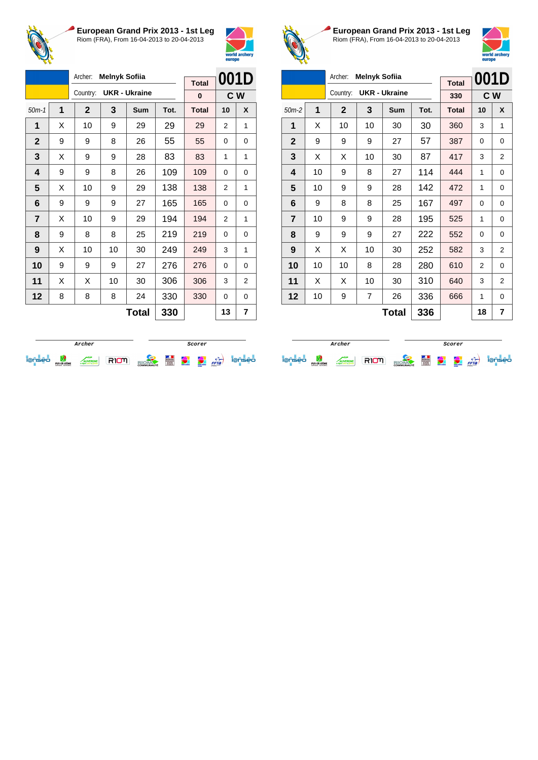



|                |   |             | Archer:<br><b>Melnyk Sofiia</b> |                      |      |              |                |     |
|----------------|---|-------------|---------------------------------|----------------------|------|--------------|----------------|-----|
|                |   |             |                                 |                      |      | <b>Total</b> | 001D           |     |
|                |   | Country:    |                                 | <b>UKR - Ukraine</b> |      | $\bf{0}$     |                | C W |
| $50m-1$        | 1 | $\mathbf 2$ | 3                               | <b>Sum</b>           | Tot. | <b>Total</b> | 10             | X   |
| 1              | X | 10          | 9                               | 29                   | 29   | 29           | $\overline{2}$ | 1   |
| $\mathbf{2}$   | 9 | 9           | 8                               | 26                   | 55   | 55           | $\Omega$       | 0   |
| 3              | X | 9           | 9                               | 28                   | 83   | 83           | 1              | 1   |
| 4              | 9 | 9           | 8                               | 26                   | 109  | 109          | 0              | 0   |
| 5              | X | 10          | 9                               | 29                   | 138  | 138          | 2              | 1   |
| 6              | 9 | 9           | 9                               | 27                   | 165  | 165          | 0              | 0   |
| $\overline{7}$ | X | 10          | 9                               | 29                   | 194  | 194          | 2              | 1   |
| 8              | 9 | 8           | 8                               | 25                   | 219  | 219          | 0              | 0   |
| 9              | X | 10          | 10                              | 30                   | 249  | 249          | 3              | 1   |
| 10             | 9 | 9           | 9                               | 27                   | 276  | 276          | $\Omega$       | 0   |
| 11             | X | X           | 10                              | 30                   | 306  | 306          | 3              | 2   |
| 12             | 8 | 8           | 8                               | 24                   | 330  | 330          | 0              | 0   |
|                |   |             |                                 | <b>Total</b>         | 330  |              | 13             | 7   |



**European Grand Prix 2013 - 1st Leg** Riom (FRA), From 16-04-2013 to 20-04-2013



|                |    | Archer:      | <b>Melnyk Sofiia</b> |                      |      |              | 001D |                |
|----------------|----|--------------|----------------------|----------------------|------|--------------|------|----------------|
|                |    |              |                      |                      |      | <b>Total</b> |      |                |
|                |    | Country:     |                      | <b>UKR - Ukraine</b> |      | 330          |      | C W            |
| $50m-2$        | 1  | $\mathbf{2}$ | 3                    | Sum                  | Tot. | <b>Total</b> | 10   | X              |
| 1              | X  | 10           | 10                   | 30                   | 30   | 360          | 3    | 1              |
| $\mathbf{2}$   | 9  | 9            | 9                    | 27                   | 57   | 387          | 0    | 0              |
| 3              | X  | X            | 10                   | 30                   | 87   | 417          | 3    | $\overline{2}$ |
| 4              | 10 | 9            | 8                    | 27                   | 114  | 444          | 1    | $\Omega$       |
| 5              | 10 | 9            | 9                    | 28                   | 142  | 472          | 1    | 0              |
| 6              | 9  | 8            | 8                    | 25                   | 167  | 497          | 0    | 0              |
| $\overline{7}$ | 10 | 9            | 9                    | 28                   | 195  | 525          | 1    | 0              |
| 8              | 9  | 9            | 9                    | 27                   | 222  | 552          | 0    | 0              |
| 9              | X  | X            | 10                   | 30                   | 252  | 582          | 3    | $\overline{2}$ |
| 10             | 10 | 10           | 8                    | 28                   | 280  | 610          | 2    | $\Omega$       |
| 11             | X  | X            | 10                   | 30                   | 310  | 640          | 3    | $\overline{2}$ |
| 12             | 10 | 9            | 7                    | 26                   | 336  | 666          | 1    | 0              |
|                |    |              |                      | <b>Total</b>         | 336  |              | 18   | 7              |

|   |                                |  |  | Scorer            |   |                   |                                |      |    |
|---|--------------------------------|--|--|-------------------|---|-------------------|--------------------------------|------|----|
| - | PUY-DE-DÔME<br>CONSEIL GENERAL |  |  | <b>COMMUNAUTÉ</b> | E | <b>COM</b> ANGELE | <b>COLUMN</b><br><b>Horses</b> | FFTa | eo |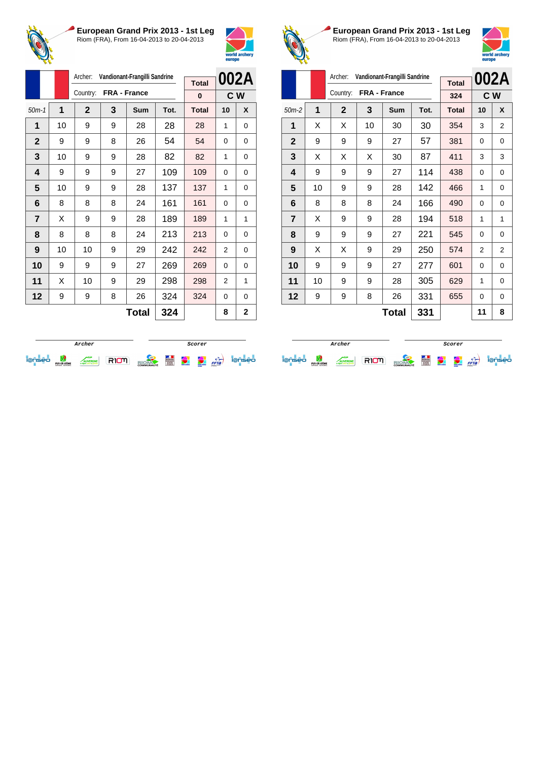



|                |    | Archer:     |   | Vandionant-Frangilli Sandrine |      |              |                | 002A |
|----------------|----|-------------|---|-------------------------------|------|--------------|----------------|------|
|                |    | Country:    |   | FRA - France                  |      | <b>Total</b> |                |      |
|                |    |             |   |                               |      | $\bf{0}$     |                | C W  |
| $50m-1$        | 1  | $\mathbf 2$ | 3 | <b>Sum</b>                    | Tot. | <b>Total</b> | 10             | X    |
| 1              | 10 | 9           | 9 | 28                            | 28   | 28           | 1              | 0    |
| $\mathbf{2}$   | 9  | 9           | 8 | 26                            | 54   | 54           | $\Omega$       | 0    |
| 3              | 10 | 9           | 9 | 28                            | 82   | 82           | 1              | 0    |
| 4              | 9  | 9           | 9 | 27                            | 109  | 109          | 0              | 0    |
| 5              | 10 | 9           | 9 | 28                            | 137  | 137          | 1              | 0    |
| 6              | 8  | 8           | 8 | 24                            | 161  | 161          | 0              | 0    |
| $\overline{7}$ | X  | 9           | 9 | 28                            | 189  | 189          | 1              | 1    |
| 8              | 8  | 8           | 8 | 24                            | 213  | 213          | 0              | 0    |
| 9              | 10 | 10          | 9 | 29                            | 242  | 242          | $\overline{2}$ | 0    |
| 10             | 9  | 9           | 9 | 27                            | 269  | 269          | 0              | 0    |
| 11             | X  | 10          | 9 | 29                            | 298  | 298          | $\overline{2}$ | 1    |
| 12             | 9  | 9           | 8 | 26                            | 324  | 324          | 0              | 0    |
|                |    |             |   | <b>Total</b>                  | 324  |              | 8              | 2    |



**European Grand Prix 2013 - 1st Leg** Riom (FRA), From 16-04-2013 to 20-04-2013



|                |    | Archer:        | Vandionant-Frangilli Sandrine |     | 002A |              |    |          |
|----------------|----|----------------|-------------------------------|-----|------|--------------|----|----------|
|                |    |                |                               |     |      | <b>Total</b> |    |          |
|                |    | Country:       | FRA - France                  |     |      | 324          |    | C W      |
| $50m-2$        | 1  | $\overline{2}$ | 3                             | Sum | Tot. | <b>Total</b> | 10 | X        |
| 1              | X  | X              | 10                            | 30  | 30   | 354          | 3  | 2        |
| $\mathbf{2}$   | 9  | 9              | 9                             | 27  | 57   | 381          | 0  | 0        |
| 3              | X  | X              | X                             | 30  | 87   | 411          | 3  | 3        |
| 4              | 9  | 9              | 9                             | 27  | 114  | 438          | 0  | $\Omega$ |
| 5              | 10 | 9              | 9                             | 28  | 142  | 466          | 1  | 0        |
| 6              | 8  | 8              | 8                             | 24  | 166  | 490          | 0  | 0        |
| $\overline{7}$ | X  | 9              | 9                             | 28  | 194  | 518          | 1  | 1        |
| 8              | 9  | 9              | 9                             | 27  | 221  | 545          | 0  | 0        |
| 9              | X  | X              | 9                             | 29  | 250  | 574          | 2  | 2        |
| 10             | 9  | 9              | 9                             | 27  | 277  | 601          | 0  | $\Omega$ |
| 11             | 10 | 9              | 9                             | 28  | 305  | 629          | 1  | 0        |
| 12             | 9  | 9              | 8                             | 26  | 331  | 655          | 0  | 0        |
|                |    |                | 11                            | 8   |      |              |    |          |

|   |                                |                                 |  | Scorer            |   |               |                                    |      |     |
|---|--------------------------------|---------------------------------|--|-------------------|---|---------------|------------------------------------|------|-----|
| - | PUY-DE-DÔME<br>CONSEIL GENERAL | <b>/ERGNE</b><br>mite as provid |  | <b>COMMUNAUTÉ</b> | Ë | world archief | <b>CONTRACTOR</b><br><b>Horses</b> | FFTa | seo |

**Archer Scorer Scorer** iense de comme RIOM alone de la partie iense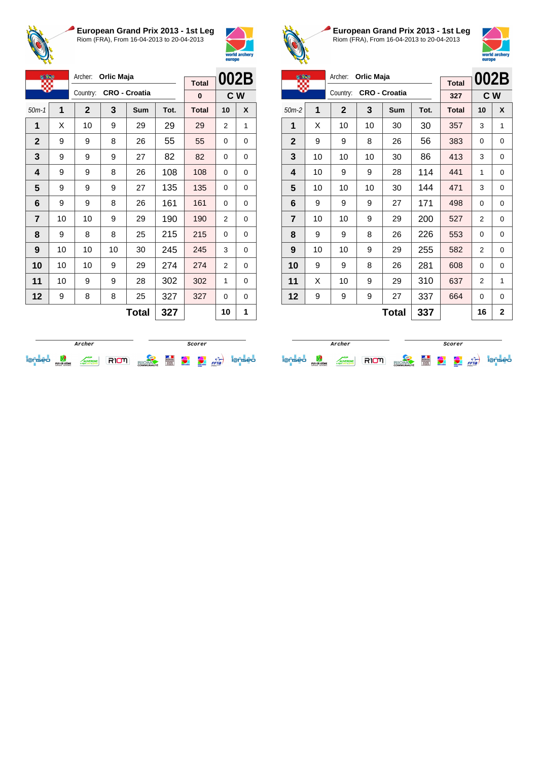



| <b>OF BRE</b>  |    | Archer:      | Orlic Maja |                      |      |              | 002B     |   |
|----------------|----|--------------|------------|----------------------|------|--------------|----------|---|
|                |    | Country:     |            | <b>CRO - Croatia</b> |      | <b>Total</b> |          |   |
|                |    |              |            |                      |      | 0            | C W      |   |
| $50m-1$        | 1  | $\mathbf{2}$ | 3          | Sum                  | Tot. | <b>Total</b> | 10       | X |
| 1              | X  | 10           | 9          | 29                   | 29   | 29           | 2        | 1 |
| $\mathbf 2$    | 9  | 9            | 8          | 26                   | 55   | 55           | $\Omega$ | 0 |
| 3              | 9  | 9            | 9          | 27                   | 82   | 82           | 0        | 0 |
| 4              | 9  | 9            | 8          | 26                   | 108  | 108          | 0        | 0 |
| 5              | 9  | 9            | 9          | 27                   | 135  | 135          | $\Omega$ | 0 |
| 6              | 9  | 9            | 8          | 26                   | 161  | 161          | 0        | 0 |
| $\overline{7}$ | 10 | 10           | 9          | 29                   | 190  | 190          | 2        | 0 |
| 8              | 9  | 8            | 8          | 25                   | 215  | 215          | 0        | 0 |
| 9              | 10 | 10           | 10         | 30                   | 245  | 245          | 3        | 0 |
| 10             | 10 | 10           | 9          | 29                   | 274  | 274          | 2        | 0 |
| 11             | 10 | 9            | 9          | 28                   | 302  | 302          | 1        | 0 |
| 12             | 9  | 8            | 8          | 25                   | 327  | 327          | 0        | 0 |
|                |    |              |            | <b>Total</b>         | 327  |              | 10       | 1 |



**European Grand Prix 2013 - 1st Leg** Riom (FRA), From 16-04-2013 to 20-04-2013



| <b>A BLE</b>   |    | Archer:      | Orlic Maja |                      |      |              | 002B |                |
|----------------|----|--------------|------------|----------------------|------|--------------|------|----------------|
|                |    |              |            |                      |      | <b>Total</b> |      |                |
|                |    | Country:     |            | <b>CRO - Croatia</b> |      | 327          |      | C W            |
| $50m-2$        | 1  | $\mathbf{2}$ | 3          | Sum                  | Tot. | <b>Total</b> | 10   | X              |
| 1              | X  | 10           | 10         | 30                   | 30   | 357          | 3    | 1              |
| $\mathbf{2}$   | 9  | 9            | 8          | 26                   | 56   | 383          | 0    | 0              |
| 3              | 10 | 10           | 10         | 30                   | 86   | 413          | 3    | 0              |
| 4              | 10 | 9            | 9          | 28                   | 114  | 441          | 1    | $\Omega$       |
| 5              | 10 | 10           | 10         | 30                   | 144  | 471          | 3    | 0              |
| 6              | 9  | 9            | 9          | 27                   | 171  | 498          | 0    | 0              |
| $\overline{7}$ | 10 | 10           | 9          | 29                   | 200  | 527          | 2    | 0              |
| 8              | 9  | 9            | 8          | 26                   | 226  | 553          | 0    | 0              |
| 9              | 10 | 10           | 9          | 29                   | 255  | 582          | 2    | 0              |
| 10             | 9  | 9            | 8          | 26                   | 281  | 608          | 0    | $\Omega$       |
| 11             | X  | 10           | 9          | 29                   | 310  | 637          | 2    | 1              |
| 12             | 9  | 9            | 9          | 27                   | 337  | 664          | 0    | 0              |
|                |    |              |            | Total                | 337  |              | 16   | $\overline{2}$ |

|    |                                |                     |  | Scorer            |   |              |                                    |      |    |
|----|--------------------------------|---------------------|--|-------------------|---|--------------|------------------------------------|------|----|
| -- | PUY-DE-DÔME<br>CONSEIL GENERAL | <b>BOX 45 STORY</b> |  | <b>COMMUNAUTÉ</b> | Ë | <b>COLOR</b> | <b>STATISTICS</b><br><b>Horses</b> | FFTa | eо |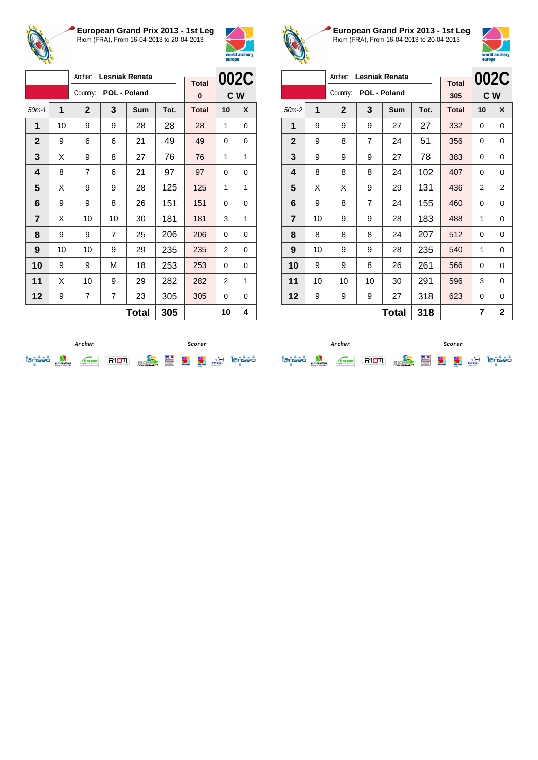



|                |                     | Archer:        |                | <b>Lesniak Renata</b> |      |                   | 002C     |   |
|----------------|---------------------|----------------|----------------|-----------------------|------|-------------------|----------|---|
|                |                     | Country:       |                | POL - Poland          |      | <b>Total</b><br>0 | C W      |   |
| $50m-1$        | 1                   | $\mathbf{2}$   | 3              | Sum                   | Tot. | <b>Total</b>      | 10       | X |
| 1              | 10                  | 9              | 9              | 28                    | 28   | 28                | 1        | 0 |
| $\overline{2}$ | 9                   | 6              | 6              | 21                    | 49   | 49                | $\Omega$ | 0 |
| 3              | X                   | 9              | 8              | 27                    | 76   | 76                | 1        | 1 |
| 4              | 8                   | $\overline{7}$ | 6              | 21                    | 97   | 97                | $\Omega$ | 0 |
| 5              | X                   | 9              | 9              | 28                    | 125  | 125               | 1        | 1 |
| 6              | 9                   | 9              | 8              | 26                    | 151  | 151               | 0        | 0 |
| $\overline{7}$ | X                   | 10             | 10             | 30                    | 181  | 181               | 3        | 1 |
| 8              | 9                   | 9              | $\overline{7}$ | 25                    | 206  | 206               | 0        | 0 |
| 9              | 10                  | 10             | 9              | 29                    | 235  | 235               | 2        | 0 |
| 10             | 9                   | 9              | M              | 18                    | 253  | 253               | 0        | 0 |
| 11             | X                   | 10             | 9              | 29                    | 282  | 282               | 2        | 1 |
| 12             | 9                   | 7              | $\overline{7}$ | 23                    | 305  | 305               | 0        | 0 |
|                | <b>Total</b><br>305 |                |                |                       |      |                   | 10       | 4 |



**European Grand Prix 2013 - 1st Leg** Riom (FRA), From 16-04-2013 to 20-04-2013



|                |    | Archer:      |    | <b>Lesniak Renata</b> |      |              |    | 002C           |
|----------------|----|--------------|----|-----------------------|------|--------------|----|----------------|
|                |    |              |    |                       |      | <b>Total</b> |    |                |
|                |    | Country:     |    | POL - Poland          |      | 305          |    | C W            |
| $50m-2$        | 1  | $\mathbf{2}$ | 3  | <b>Sum</b>            | Tot. | <b>Total</b> | 10 | X              |
| 1              | 9  | 9            | 9  | 27                    | 27   | 332          | 0  | $\Omega$       |
| $\mathbf{2}$   | 9  | 8            | 7  | 24                    | 51   | 356          | 0  | 0              |
| 3              | 9  | 9            | 9  | 27                    | 78   | 383          | 0  | 0              |
| 4              | 8  | 8            | 8  | 24                    | 102  | 407          | 0  | 0              |
| 5              | X  | Х            | 9  | 29                    | 131  | 436          | 2  | $\overline{2}$ |
| 6              | 9  | 8            | 7  | 24                    | 155  | 460          | 0  | 0              |
| $\overline{7}$ | 10 | 9            | 9  | 28                    | 183  | 488          | 1  | 0              |
| 8              | 8  | 8            | 8  | 24                    | 207  | 512          | 0  | 0              |
| 9              | 10 | 9            | 9  | 28                    | 235  | 540          | 1  | 0              |
| 10             | 9  | 9            | 8  | 26                    | 261  | 566          | 0  | 0              |
| 11             | 10 | 10           | 10 | 30                    | 291  | 596          | 3  | 0              |
| 12             | 9  | 9            | 9  | 27                    | 318  | 623          | 0  | 0              |
|                |    |              |    | Total                 | 318  |              | 7  | 2              |

|   |                                |               |  | Scorer            |   |              |                                    |      |     |
|---|--------------------------------|---------------|--|-------------------|---|--------------|------------------------------------|------|-----|
| - | PUY-DE-DÔME<br>CONSEIL GENERAL | <b>NERGNE</b> |  | <b>COMMUNAUTÉ</b> | E | world archer | <b>CONTRACTOR</b><br><b>Horses</b> | FFTa | seo |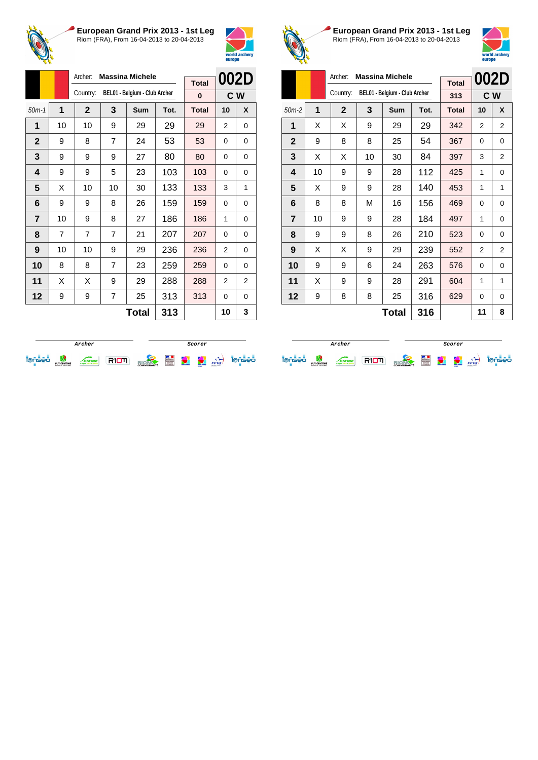



|                |                     | Archer:        | <b>Massina Michele</b> |                               |      |                   | 002D     |   |
|----------------|---------------------|----------------|------------------------|-------------------------------|------|-------------------|----------|---|
|                |                     | Country:       |                        | BEL01 - Belgium - Club Archer |      | <b>Total</b><br>0 | C W      |   |
| $50m-1$        | 1                   | $\mathbf{2}$   | 3                      | Sum                           | Tot. | <b>Total</b>      | 10       | X |
| 1              | 10                  | 10             | 9                      | 29                            | 29   | 29                | 2        | 0 |
| $\mathbf{2}$   | 9                   | 8              | $\overline{7}$         | 24                            | 53   | 53                | 0        | 0 |
| 3              | 9                   | 9              | 9                      | 27                            | 80   | 80                | 0        | 0 |
| 4              | 9                   | 9              | 5                      | 23                            | 103  | 103               | $\Omega$ | 0 |
| 5              | X                   | 10             | 10                     | 30                            | 133  | 133               | 3        | 1 |
| 6              | 9                   | 9              | 8                      | 26                            | 159  | 159               | 0        | 0 |
| $\overline{7}$ | 10                  | 9              | 8                      | 27                            | 186  | 186               | 1        | 0 |
| 8              | 7                   | $\overline{7}$ | 7                      | 21                            | 207  | 207               | 0        | 0 |
| 9              | 10                  | 10             | 9                      | 29                            | 236  | 236               | 2        | 0 |
| 10             | 8                   | 8              | $\overline{7}$         | 23                            | 259  | 259               | 0        | 0 |
| 11             | X                   | X              | 9                      | 29                            | 288  | 288               | 2        | 2 |
| 12             | 9                   | 9              | 7                      | 25                            | 313  | 313               | 0        | 0 |
|                | <b>Total</b><br>313 |                |                        |                               |      | 10                | 3        |   |



**European Grand Prix 2013 - 1st Leg** Riom (FRA), From 16-04-2013 to 20-04-2013



|                |    | Archer:     | <b>Massina Michele</b> |                               | 002D |              |    |                |
|----------------|----|-------------|------------------------|-------------------------------|------|--------------|----|----------------|
|                |    |             |                        |                               |      | <b>Total</b> |    |                |
|                |    | Country:    |                        | BEL01 - Belgium - Club Archer |      | 313          |    | C W            |
| $50m-2$        | 1  | $\mathbf 2$ | 3                      | <b>Sum</b>                    | Tot. | <b>Total</b> | 10 | X              |
| 1              | X  | X           | 9                      | 29                            | 29   | 342          | 2  | 2              |
| $\mathbf 2$    | 9  | 8           | 8                      | 25                            | 54   | 367          | 0  | 0              |
| 3              | X  | X           | 10                     | 30                            | 84   | 397          | 3  | $\overline{2}$ |
| 4              | 10 | 9           | 9                      | 28                            | 112  | 425          | 1  | 0              |
| 5              | X  | 9           | 9                      | 28                            | 140  | 453          | 1  | 1              |
| 6              | 8  | 8           | М                      | 16                            | 156  | 469          | 0  | 0              |
| $\overline{7}$ | 10 | 9           | 9                      | 28                            | 184  | 497          | 1  | 0              |
| 8              | 9  | 9           | 8                      | 26                            | 210  | 523          | 0  | 0              |
| 9              | X  | X           | 9                      | 29                            | 239  | 552          | 2  | 2              |
| 10             | 9  | 9           | 6                      | 24                            | 263  | 576          | 0  | 0              |
| 11             | X  | 9           | 9                      | 28                            | 291  | 604          | 1  | 1              |
| 12             | 9  | 8           | 8                      | 25                            | 316  | 629          | 0  | 0              |
| 316<br>Total   |    |             |                        |                               |      |              | 11 | 8              |

|  |                                |                                 |  | Scorer            |   |                    |                                               |      |     |
|--|--------------------------------|---------------------------------|--|-------------------|---|--------------------|-----------------------------------------------|------|-----|
|  | PUY-DE-DÔME<br>CONSEIL GENERAL | <b>VERGNE</b><br><b>K STAND</b> |  | <b>COMMUNAUTÉ</b> | É | <b>WHAT AND RE</b> | <b><i><u>CONTACT</u></i></b><br><b>Horses</b> | FFTa | seo |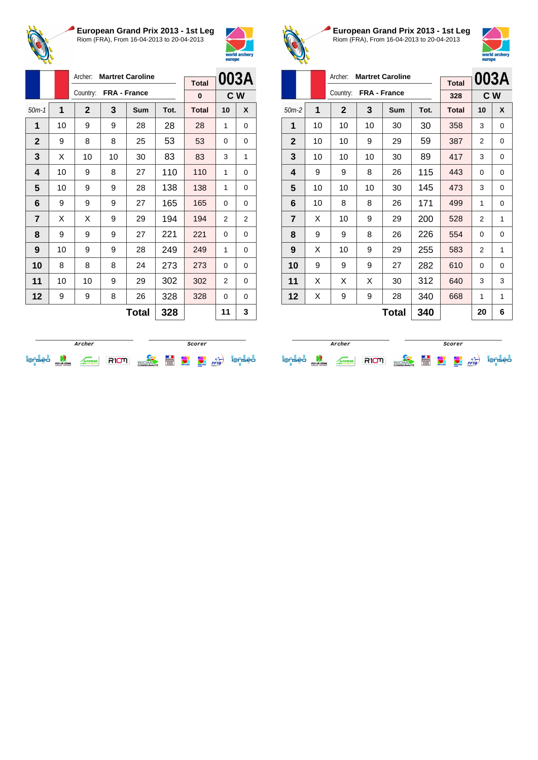



|                |    | Archer:      |    | <b>Martret Caroline</b> |      | <b>Total</b> |                | 003A           |
|----------------|----|--------------|----|-------------------------|------|--------------|----------------|----------------|
|                |    | Country:     |    | FRA - France            |      | 0            | C W            |                |
| $50m-1$        | 1  | $\mathbf{2}$ | 3  | Sum                     | Tot. | <b>Total</b> | 10             | X              |
| 1              | 10 | 9            | 9  | 28                      | 28   | 28           | 1              | 0              |
| $\mathbf{2}$   | 9  | 8            | 8  | 25                      | 53   | 53           | 0              | 0              |
| 3              | X  | 10           | 10 | 30                      | 83   | 83           | 3              | 1              |
| 4              | 10 | 9            | 8  | 27                      | 110  | 110          | 1              | 0              |
| 5              | 10 | 9            | 9  | 28                      | 138  | 138          | 1              | 0              |
| 6              | 9  | 9            | 9  | 27                      | 165  | 165          | 0              | 0              |
| $\overline{7}$ | X  | X            | 9  | 29                      | 194  | 194          | $\overline{2}$ | $\overline{2}$ |
| 8              | 9  | 9            | 9  | 27                      | 221  | 221          | 0              | 0              |
| 9              | 10 | 9            | 9  | 28                      | 249  | 249          | 1              | 0              |
| 10             | 8  | 8            | 8  | 24                      | 273  | 273          | 0              | 0              |
| 11             | 10 | 10           | 9  | 29                      | 302  | 302          | 2              | 0              |
| 12             | 9  | 9            | 8  | 26                      | 328  | 328          | 0              | 0              |
|                |    |              |    | <b>Total</b>            | 328  |              | 11             | 3              |



**European Grand Prix 2013 - 1st Leg** Riom (FRA), From 16-04-2013 to 20-04-2013



|                |    |              |              | 003A       |      |              |    |     |
|----------------|----|--------------|--------------|------------|------|--------------|----|-----|
|                |    |              |              |            |      | <b>Total</b> |    |     |
|                |    | Country:     | FRA - France |            |      | 328          |    | C W |
| $50m-2$        | 1  | $\mathbf{2}$ | 3            | <b>Sum</b> | Tot. | <b>Total</b> | 10 | X   |
| 1              | 10 | 10           | 10           | 30         | 30   | 358          | 3  | 0   |
| $\mathbf{2}$   | 10 | 10           | 9            | 29         | 59   | 387          | 2  | 0   |
| 3              | 10 | 10           | 10           | 30         | 89   | 417          | 3  | 0   |
| 4              | 9  | 9            | 8            | 26         | 115  | 443          | 0  | 0   |
| 5              | 10 | 10           | 10           | 30         | 145  | 473          | 3  | 0   |
| 6              | 10 | 8            | 8            | 26         | 171  | 499          | 1  | 0   |
| $\overline{7}$ | X  | 10           | 9            | 29         | 200  | 528          | 2  | 1   |
| 8              | 9  | 9            | 8            | 26         | 226  | 554          | 0  | 0   |
| 9              | X  | 10           | 9            | 29         | 255  | 583          | 2  | 1   |
| 10             | 9  | 9            | 9            | 27         | 282  | 610          | 0  | 0   |
| 11             | X  | X            | X            | 30         | 312  | 640          | 3  | 3   |
| 12             | Χ  | 9            | 9            | 28         | 340  | 668          | 1  | 1   |
|                |    |              |              | Total      | 340  |              | 20 | 6   |

|    |                                 |  |  | Scorer            |                        |            |                                                            |      |    |
|----|---------------------------------|--|--|-------------------|------------------------|------------|------------------------------------------------------------|------|----|
| -- | PLIY-DE-DOME<br>CONSEIL GENERAL |  |  | <b>COMMUNAUTÉ</b> | <b>CONTRACTOR</b><br>E | weld ander | <b><i><u><u>International</u></u></i></b><br><b>AUTORS</b> | FFTa | eо |

**Archer Scorer Scorer** ieniei <sub>wake</sub> <u>Avenue</u> RIOM <sub>Blo</sub>om H 1 (2 c) ienisei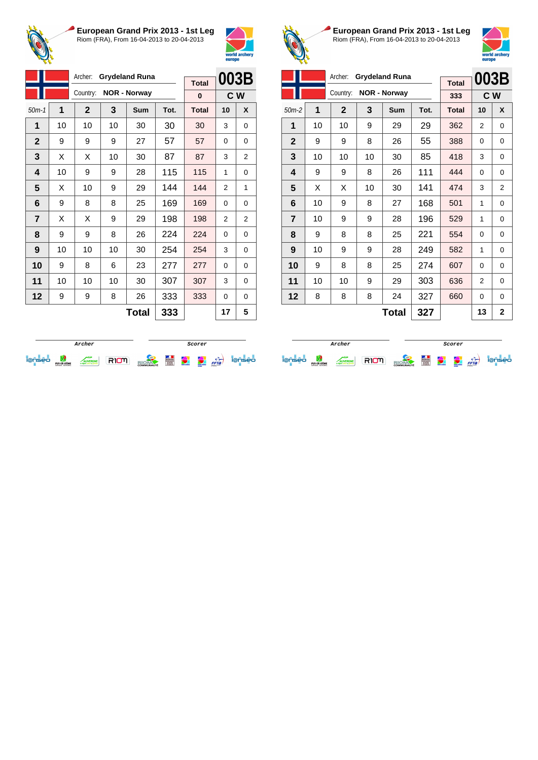



|                |    | Archer:        |    | <b>Grydeland Runa</b> |      |                          | 003B           |                |
|----------------|----|----------------|----|-----------------------|------|--------------------------|----------------|----------------|
|                |    | Country:       |    | <b>NOR - Norway</b>   |      | <b>Total</b><br>$\bf{0}$ | C W            |                |
| $50m-1$        | 1  | $\overline{2}$ | 3  | Sum                   | Tot. | <b>Total</b>             | 10             | X              |
| 1              | 10 | 10             | 10 | 30                    | 30   | 30                       | 3              | 0              |
| $\overline{2}$ | 9  | 9              | 9  | 27                    | 57   | 57                       | $\Omega$       | 0              |
| 3              | X  | X              | 10 | 30                    | 87   | 87                       | 3              | 2              |
| 4              | 10 | 9              | 9  | 28                    | 115  | 115                      | 1              | 0              |
| 5              | X  | 10             | 9  | 29                    | 144  | 144                      | $\overline{2}$ | 1              |
| 6              | 9  | 8              | 8  | 25                    | 169  | 169                      | 0              | 0              |
| $\overline{7}$ | X  | X              | 9  | 29                    | 198  | 198                      | $\overline{2}$ | $\overline{2}$ |
| 8              | 9  | 9              | 8  | 26                    | 224  | 224                      | $\Omega$       | 0              |
| 9              | 10 | 10             | 10 | 30                    | 254  | 254                      | 3              | 0              |
| 10             | 9  | 8              | 6  | 23                    | 277  | 277                      | 0              | 0              |
| 11             | 10 | 10             | 10 | 30                    | 307  | 307                      | 3              | 0              |
| 12             | 9  | 9              | 8  | 26                    | 333  | 333                      | 0              | 0              |
|                |    |                |    | <b>Total</b>          | 333  |                          | 17             | 5              |



**European Grand Prix 2013 - 1st Leg** Riom (FRA), From 16-04-2013 to 20-04-2013



|                | 003B |             |    |                       |      |              |    |                |
|----------------|------|-------------|----|-----------------------|------|--------------|----|----------------|
|                |      | Archer:     |    | <b>Grydeland Runa</b> |      | <b>Total</b> |    |                |
|                |      | Country:    |    | <b>NOR - Norway</b>   |      | 333          |    | C W            |
| $50m-2$        | 1    | $\mathbf 2$ | 3  | Sum                   | Tot. | <b>Total</b> | 10 | X              |
| 1              | 10   | 10          | 9  | 29                    | 29   | 362          | 2  | 0              |
| $\mathbf{2}$   | 9    | 9           | 8  | 26                    | 55   | 388          | 0  | 0              |
| 3              | 10   | 10          | 10 | 30                    | 85   | 418          | 3  | 0              |
| 4              | 9    | 9           | 8  | 26                    | 111  | 444          | 0  | $\Omega$       |
| 5              | X    | Х           | 10 | 30                    | 141  | 474          | 3  | 2              |
| 6              | 10   | 9           | 8  | 27                    | 168  | 501          | 1  | 0              |
| $\overline{7}$ | 10   | 9           | 9  | 28                    | 196  | 529          | 1  | $\Omega$       |
| 8              | 9    | 8           | 8  | 25                    | 221  | 554          | 0  | 0              |
| 9              | 10   | 9           | 9  | 28                    | 249  | 582          | 1  | 0              |
| 10             | 9    | 8           | 8  | 25                    | 274  | 607          | 0  | $\Omega$       |
| 11             | 10   | 10          | 9  | 29                    | 303  | 636          | 2  | 0              |
| 12             | 8    | 8           | 8  | 24                    | 327  | 660          | 0  | $\Omega$       |
|                |      |             |    | <b>Total</b>          | 327  |              | 13 | $\overline{2}$ |

|   |                                |              |  | Scorer            |   |                |                                |      |     |
|---|--------------------------------|--------------|--|-------------------|---|----------------|--------------------------------|------|-----|
| - | PUY-DE-DÔME<br>CONSEIL GENERAL | <b>ERGNE</b> |  | <b>COMMUNAUTÉ</b> | Ë | <b>COMMAND</b> | <b>COLUMN</b><br><b>Horses</b> | FFTa | seo |

**Archer Scorer Scorer** iense de comme RIOM alone de la partie iense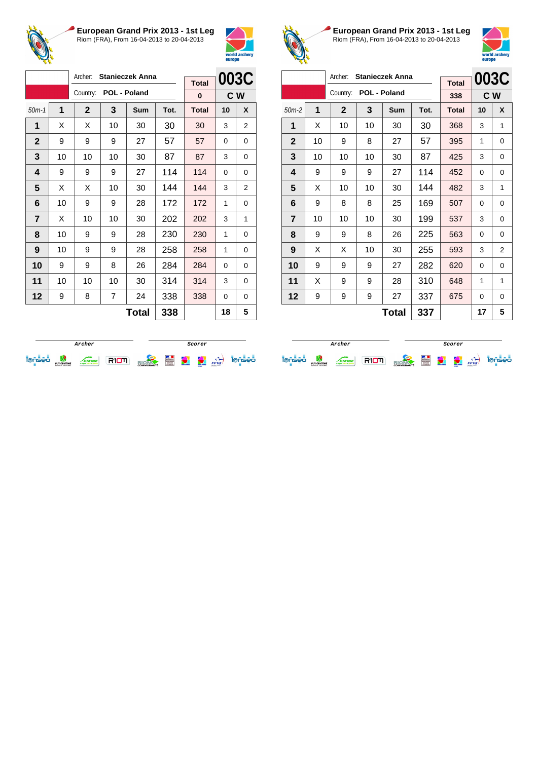



|                |    | Archer:      | <b>Stanieczek Anna</b> |              | <b>Total</b> | 003C         |                |   |
|----------------|----|--------------|------------------------|--------------|--------------|--------------|----------------|---|
|                |    | Country:     |                        | POL - Poland |              | 0            | C <sub>W</sub> |   |
| $50m-1$        | 1  | $\mathbf{2}$ | 3                      | Sum          | Tot.         | <b>Total</b> | 10             | X |
| 1              | X  | X            | 10                     | 30           | 30           | 30           | 3              | 2 |
| $\mathbf 2$    | 9  | 9            | 9                      | 27           | 57           | 57           | 0              | 0 |
| 3              | 10 | 10           | 10                     | 30           | 87           | 87           | 3              | 0 |
| 4              | 9  | 9            | 9                      | 27           | 114          | 114          | $\Omega$       | 0 |
| 5              | X  | X            | 10                     | 30           | 144          | 144          | 3              | 2 |
| 6              | 10 | 9            | 9                      | 28           | 172          | 172          | 1              | 0 |
| $\overline{7}$ | X  | 10           | 10                     | 30           | 202          | 202          | 3              | 1 |
| 8              | 10 | 9            | 9                      | 28           | 230          | 230          | 1              | 0 |
| 9              | 10 | 9            | 9                      | 28           | 258          | 258          | 1              | 0 |
| 10             | 9  | 9            | 8                      | 26           | 284          | 284          | $\Omega$       | 0 |
| 11             | 10 | 10           | 10                     | 30           | 314          | 314          | 3              | 0 |
| 12             | 9  | 8            | 7                      | 24           | 338          | 338          | 0              | 0 |
|                |    |              |                        | <b>Total</b> | 338          |              | 18             | 5 |



**European Grand Prix 2013 - 1st Leg** Riom (FRA), From 16-04-2013 to 20-04-2013



| Archer:<br><b>Stanieczek Anna</b> |    |              |              |     |      |              |     | 003C           |
|-----------------------------------|----|--------------|--------------|-----|------|--------------|-----|----------------|
|                                   |    |              |              |     |      | <b>Total</b> |     |                |
|                                   |    | Country:     | POL - Poland |     |      | 338          | C W |                |
| $50m-2$                           | 1  | $\mathbf{2}$ | 3            | Sum | Tot. | <b>Total</b> | 10  | X              |
| 1                                 | X  | 10           | 10           | 30  | 30   | 368          | 3   | 1              |
| $\mathbf{2}$                      | 10 | 9            | 8            | 27  | 57   | 395          | 1   | 0              |
| 3                                 | 10 | 10           | 10           | 30  | 87   | 425          | 3   | $\Omega$       |
| 4                                 | 9  | 9            | 9            | 27  | 114  | 452          | 0   | 0              |
| 5                                 | X  | 10           | 10           | 30  | 144  | 482          | 3   | 1              |
| 6                                 | 9  | 8            | 8            | 25  | 169  | 507          | 0   | 0              |
| $\overline{7}$                    | 10 | 10           | 10           | 30  | 199  | 537          | 3   | 0              |
| 8                                 | 9  | 9            | 8            | 26  | 225  | 563          | 0   | 0              |
| 9                                 | X  | Х            | 10           | 30  | 255  | 593          | 3   | $\overline{2}$ |
| 10                                | 9  | 9            | 9            | 27  | 282  | 620          | 0   | 0              |
| 11                                | X  | 9            | 9            | 28  | 310  | 648          | 1   | 1              |
| 12                                | 9  | 9            | 9            | 27  | 337  | 675          | 0   | 0              |
| 337<br>Total                      |    |              |              |     |      |              | 17  | 5              |

|  |                                 |  |  | Scorer            |   |             |                                    |      |    |
|--|---------------------------------|--|--|-------------------|---|-------------|------------------------------------|------|----|
|  | PLIY-DE-DOME<br>CONSEIL GENERAL |  |  | <b>COMMUNAUTÉ</b> | E | went and on | <b>COMMERCIAL</b><br><b>ANTING</b> | FFTa | eо |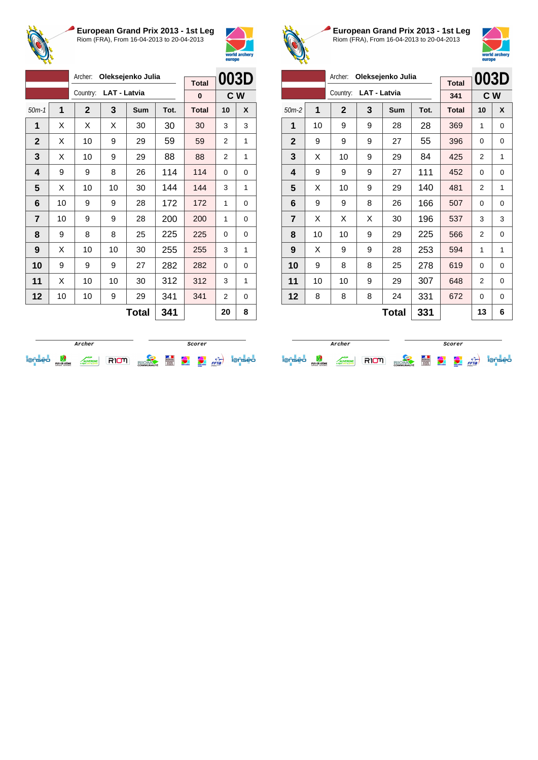



|                         |    | Archer:<br>Oleksejenko Julia |                     |              |      |              | 003D     |     |
|-------------------------|----|------------------------------|---------------------|--------------|------|--------------|----------|-----|
|                         |    |                              |                     |              |      | <b>Total</b> |          |     |
|                         |    | Country:                     | <b>LAT - Latvia</b> |              |      | 0            |          | C W |
| $50m-1$                 | 1  | $\mathbf{2}$                 | 3                   | Sum          | Tot. | <b>Total</b> | 10       | X   |
| 1                       | X  | X                            | X                   | 30           | 30   | 30           | 3        | 3   |
| $\mathbf{2}$            | X  | 10                           | 9                   | 29           | 59   | 59           | 2        | 1   |
| 3                       | X  | 10                           | 9                   | 29           | 88   | 88           | 2        | 1   |
| $\overline{\mathbf{4}}$ | 9  | 9                            | 8                   | 26           | 114  | 114          | 0        | 0   |
| 5                       | X  | 10                           | 10                  | 30           | 144  | 144          | 3        | 1   |
| 6                       | 10 | 9                            | 9                   | 28           | 172  | 172          | 1        | 0   |
| $\overline{7}$          | 10 | 9                            | 9                   | 28           | 200  | 200          | 1        | 0   |
| 8                       | 9  | 8                            | 8                   | 25           | 225  | 225          | $\Omega$ | 0   |
| 9                       | X  | 10                           | 10                  | 30           | 255  | 255          | 3        | 1   |
| 10                      | 9  | 9                            | 9                   | 27           | 282  | 282          | $\Omega$ | 0   |
| 11                      | X  | 10                           | 10                  | 30           | 312  | 312          | 3        | 1   |
| 12                      | 10 | 10                           | 9                   | 29           | 341  | 341          | 2        | 0   |
|                         |    |                              |                     | <b>Total</b> | 341  |              | 20       | 8   |



**European Grand Prix 2013 - 1st Leg** Riom (FRA), From 16-04-2013 to 20-04-2013



|                |    |              | 003D                |                   |      |              |     |          |
|----------------|----|--------------|---------------------|-------------------|------|--------------|-----|----------|
|                |    |              |                     | Oleksejenko Julia |      | <b>Total</b> |     |          |
|                |    | Country:     | <b>LAT - Latvia</b> |                   |      | 341          | C W |          |
| $50m-2$        | 1  | $\mathbf{2}$ | 3                   | <b>Sum</b>        | Tot. | <b>Total</b> | 10  | X        |
| 1              | 10 | 9            | 9                   | 28                | 28   | 369          | 1   | $\Omega$ |
| $\mathbf{2}$   | 9  | 9            | 9                   | 27                | 55   | 396          | 0   | 0        |
| 3              | X  | 10           | 9                   | 29                | 84   | 425          | 2   | 1        |
| 4              | 9  | 9            | 9                   | 27                | 111  | 452          | 0   | 0        |
| 5              | X  | 10           | 9                   | 29                | 140  | 481          | 2   | 1        |
| 6              | 9  | 9            | 8                   | 26                | 166  | 507          | 0   | 0        |
| $\overline{7}$ | X  | X            | X                   | 30                | 196  | 537          | 3   | 3        |
| 8              | 10 | 10           | 9                   | 29                | 225  | 566          | 2   | 0        |
| 9              | X  | 9            | 9                   | 28                | 253  | 594          | 1   | 1        |
| 10             | 9  | 8            | 8                   | 25                | 278  | 619          | 0   | 0        |
| 11             | 10 | 10           | 9                   | 29                | 307  | 648          | 2   | 0        |
| 12             | 8  | 8            | 8                   | 24                | 331  | 672          | 0   | 0        |
| 331<br>Total   |    |              |                     |                   |      |              | 13  | 6        |

|   |                                |               |  | Scorer            |   |              |                                    |      |     |
|---|--------------------------------|---------------|--|-------------------|---|--------------|------------------------------------|------|-----|
| - | PUY-DE-DÔME<br>CONSEIL GENERAL | <b>NERGNE</b> |  | <b>COMMUNAUTÉ</b> | E | world archer | <b>CONTRACTOR</b><br><b>Horses</b> | FFTa | seo |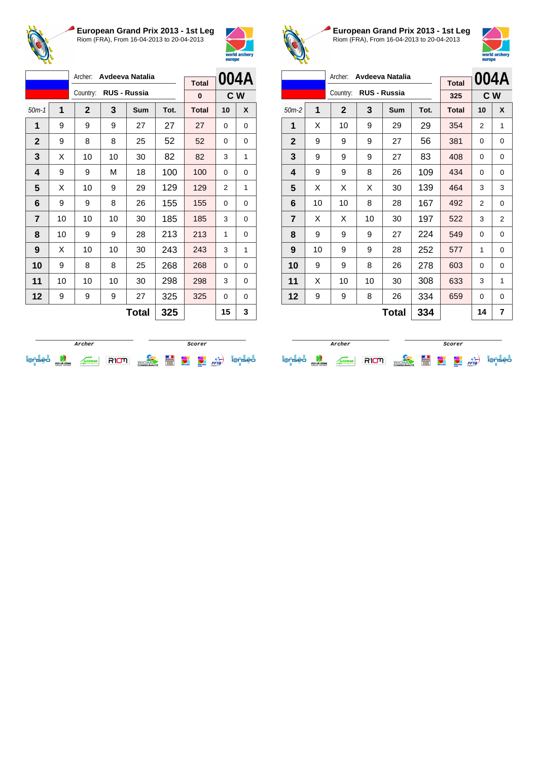



|                |    | Archer:<br>Avdeeva Natalia |    |              |      |              | 004A |     |
|----------------|----|----------------------------|----|--------------|------|--------------|------|-----|
|                |    |                            |    |              |      | <b>Total</b> |      |     |
|                |    | Country:                   |    | RUS - Russia |      | 0            |      | C W |
| $50m-1$        | 1  | $\mathbf{2}$               | 3  | Sum          | Tot. | <b>Total</b> | 10   | X   |
| 1              | 9  | 9                          | 9  | 27           | 27   | 27           | 0    | 0   |
| $\mathbf 2$    | 9  | 8                          | 8  | 25           | 52   | 52           | 0    | 0   |
| 3              | X  | 10                         | 10 | 30           | 82   | 82           | 3    | 1   |
| 4              | 9  | 9                          | М  | 18           | 100  | 100          | 0    | 0   |
| 5              | X  | 10                         | 9  | 29           | 129  | 129          | 2    | 1   |
| 6              | 9  | 9                          | 8  | 26           | 155  | 155          | 0    | 0   |
| $\overline{7}$ | 10 | 10                         | 10 | 30           | 185  | 185          | 3    | 0   |
| 8              | 10 | 9                          | 9  | 28           | 213  | 213          | 1    | 0   |
| 9              | X  | 10                         | 10 | 30           | 243  | 243          | 3    | 1   |
| 10             | 9  | 8                          | 8  | 25           | 268  | 268          | 0    | 0   |
| 11             | 10 | 10                         | 10 | 30           | 298  | 298          | 3    | 0   |
| 12             | 9  | 9                          | 9  | 27           | 325  | 325          | 0    | 0   |
|                |    |                            |    | <b>Total</b> | 325  |              | 15   | 3   |



**European Grand Prix 2013 - 1st Leg** Riom (FRA), From 16-04-2013 to 20-04-2013



| Archer:<br>Avdeeva Natalia |              |              |    |                     |      |              |    | 004A     |
|----------------------------|--------------|--------------|----|---------------------|------|--------------|----|----------|
|                            |              |              |    |                     |      | <b>Total</b> |    |          |
|                            |              | Country:     |    | <b>RUS - Russia</b> |      | 325          |    | C W      |
| $50m-2$                    | 1            | $\mathbf{2}$ | 3  | Sum                 | Tot. | <b>Total</b> | 10 | X        |
| 1                          | X            | 10           | 9  | 29                  | 29   | 354          | 2  | 1        |
| $\mathbf{2}$               | 9            | 9            | 9  | 27                  | 56   | 381          | 0  | 0        |
| 3                          | 9            | 9            | 9  | 27                  | 83   | 408          | 0  | 0        |
| 4                          | 9            | 9            | 8  | 26                  | 109  | 434          | 0  | 0        |
| 5                          | X            | Х            | Χ  | 30                  | 139  | 464          | 3  | 3        |
| 6                          | 10           | 10           | 8  | 28                  | 167  | 492          | 2  | 0        |
| $\overline{7}$             | X            | x            | 10 | 30                  | 197  | 522          | 3  | 2        |
| 8                          | 9            | 9            | 9  | 27                  | 224  | 549          | 0  | 0        |
| 9                          | 10           | 9            | 9  | 28                  | 252  | 577          | 1  | $\Omega$ |
| 10                         | 9            | 9            | 8  | 26                  | 278  | 603          | 0  | $\Omega$ |
| 11                         | X            | 10           | 10 | 30                  | 308  | 633          | 3  | 1        |
| 12                         | 9            | 9            | 8  | 26                  | 334  | 659          | 0  | 0        |
|                            | 334<br>Total |              |    |                     |      |              | 14 | 7        |

|  |                                 |              |  | Scorer            |   |                   |              |      |    |
|--|---------------------------------|--------------|--|-------------------|---|-------------------|--------------|------|----|
|  | PLIY-DE-DOME<br>CONSEIL GENERAL | <b>ERGNE</b> |  | <b>COMMUNAUTÉ</b> | E | <b>WASH ANDER</b> | <b>HOTAL</b> | FFTa | ∍∩ |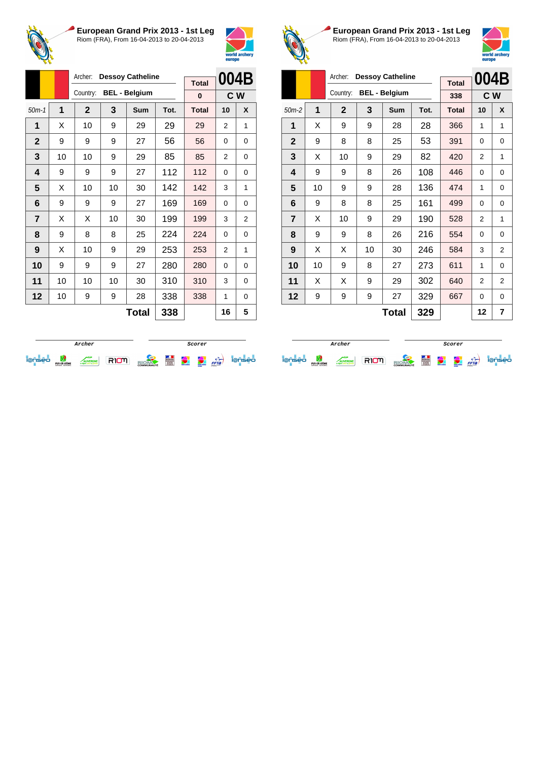



|                |              | Archer:<br><b>Dessoy Catheline</b> |    |                      |      | <b>Total</b> | 004B           |                |
|----------------|--------------|------------------------------------|----|----------------------|------|--------------|----------------|----------------|
|                |              | Country:                           |    | <b>BEL - Belgium</b> |      | $\bf{0}$     | C <sub>W</sub> |                |
| $50m-1$        | $\mathbf{1}$ | $\mathbf{2}$                       | 3  | Sum                  | Tot. | <b>Total</b> | 10             | X              |
| 1              | X            | 10                                 | 9  | 29                   | 29   | 29           | 2              | 1              |
| $\mathbf{2}$   | 9            | 9                                  | 9  | 27                   | 56   | 56           | $\Omega$       | 0              |
| 3              | 10           | 10                                 | 9  | 29                   | 85   | 85           | 2              | 0              |
| 4              | 9            | 9                                  | 9  | 27                   | 112  | 112          | $\Omega$       | 0              |
| 5              | X            | 10                                 | 10 | 30                   | 142  | 142          | 3              | 1              |
| 6              | 9            | 9                                  | 9  | 27                   | 169  | 169          | $\Omega$       | 0              |
| $\overline{7}$ | X            | X                                  | 10 | 30                   | 199  | 199          | 3              | $\overline{2}$ |
| 8              | 9            | 8                                  | 8  | 25                   | 224  | 224          | $\Omega$       | 0              |
| 9              | Х            | 10                                 | 9  | 29                   | 253  | 253          | 2              | 1              |
| 10             | 9            | 9                                  | 9  | 27                   | 280  | 280          | $\Omega$       | 0              |
| 11             | 10           | 10                                 | 10 | 30                   | 310  | 310          | 3              | 0              |
| 12             | 10           | 9                                  | 9  | 28                   | 338  | 338          | 1              | 0              |
|                |              |                                    |    | Tatal                | າາດ  |              | 4 C            | E              |

**Total 338 16 5**



**European Grand Prix 2013 - 1st Leg** Riom (FRA), From 16-04-2013 to 20-04-2013



|                | Archer:<br><b>Dessoy Catheline</b> |              |             |    |                      |      |              | 004B |                |
|----------------|------------------------------------|--------------|-------------|----|----------------------|------|--------------|------|----------------|
|                |                                    |              |             |    |                      |      | <b>Total</b> |      |                |
|                |                                    |              | Country:    |    | <b>BEL - Belgium</b> |      | 338          |      | C W            |
| $50m-2$        |                                    | $\mathbf{1}$ | $\mathbf 2$ | 3  | <b>Sum</b>           | Tot. | <b>Total</b> | 10   | X              |
| 1              |                                    | X            | 9           | 9  | 28                   | 28   | 366          | 1    | 1              |
| 2              |                                    | 9            | 8           | 8  | 25                   | 53   | 391          | 0    | 0              |
| 3              |                                    | X            | 10          | 9  | 29                   | 82   | 420          | 2    | 1              |
| 4              |                                    | 9            | 9           | 8  | 26                   | 108  | 446          | 0    | 0              |
| 5              |                                    | 10           | 9           | 9  | 28                   | 136  | 474          | 1    | 0              |
| 6              |                                    | 9            | 8           | 8  | 25                   | 161  | 499          | 0    | 0              |
| $\overline{7}$ |                                    | X            | 10          | 9  | 29                   | 190  | 528          | 2    | 1              |
| 8              |                                    | 9            | 9           | 8  | 26                   | 216  | 554          | 0    | 0              |
| 9              |                                    | X            | X           | 10 | 30                   | 246  | 584          | 3    | $\overline{2}$ |
| 10             |                                    | 10           | 9           | 8  | 27                   | 273  | 611          | 1    | 0              |
| 11             |                                    | X            | X           | 9  | 29                   | 302  | 640          | 2    | 2              |
| 12             |                                    | 9            | 9           | 9  | 27                   | 329  | 667          | 0    | $\Omega$       |
|                | 329<br>Total                       |              |             |    |                      |      |              | 12   | 7              |

|   |                                |                                 |  | Scorer            |   |               |                                    |      |     |
|---|--------------------------------|---------------------------------|--|-------------------|---|---------------|------------------------------------|------|-----|
| - | PUY-DE-DÔME<br>CONSEIL GENERAL | <b>/ERGNE</b><br>mite as provid |  | <b>COMMUNAUTÉ</b> | Ë | world archief | <b>CONTRACTOR</b><br><b>Horses</b> | FFTa | seo |

**Archer Scorer Scorer** iense de comme RIOM alone de la partie iense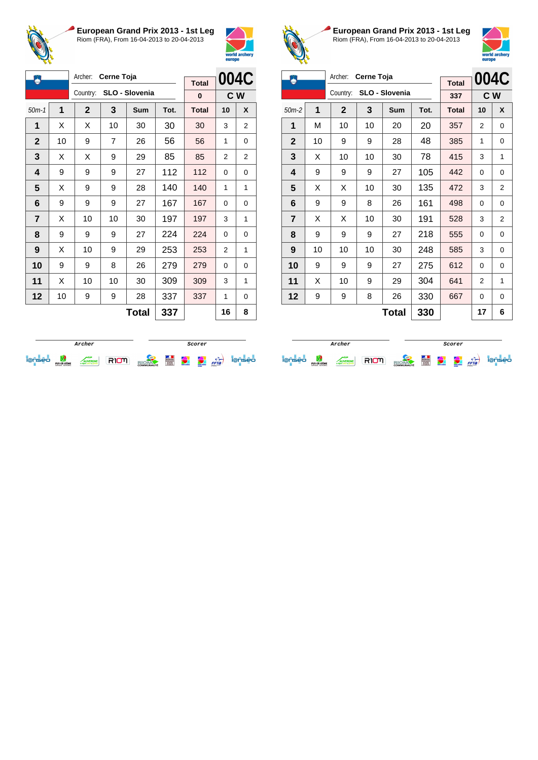



| ۵              |              | Archer:     | Cerne Toja     |                |      |                   | 004C           |   |
|----------------|--------------|-------------|----------------|----------------|------|-------------------|----------------|---|
|                |              | Country:    |                | SLO - Slovenia |      | <b>Total</b><br>0 | C <sub>W</sub> |   |
| $50m-1$        | $\mathbf{1}$ | $\mathbf 2$ | 3              | Sum            | Tot. | <b>Total</b>      | 10             | X |
| 1              | X            | X           | 10             | 30             | 30   | 30                | 3              | 2 |
| $\mathbf 2$    | 10           | 9           | $\overline{7}$ | 26             | 56   | 56                | 1              | 0 |
| 3              | X            | X           | 9              | 29             | 85   | 85                | 2              | 2 |
| 4              | 9            | 9           | 9              | 27             | 112  | 112               | 0              | 0 |
| 5              | X            | 9           | 9              | 28             | 140  | 140               | 1              | 1 |
| 6              | 9            | 9           | 9              | 27             | 167  | 167               | 0              | 0 |
| $\overline{7}$ | X            | 10          | 10             | 30             | 197  | 197               | 3              | 1 |
| 8              | 9            | 9           | 9              | 27             | 224  | 224               | 0              | 0 |
| 9              | X            | 10          | 9              | 29             | 253  | 253               | 2              | 1 |
| 10             | 9            | 9           | 8              | 26             | 279  | 279               | $\Omega$       | 0 |
| 11             | X            | 10          | 10             | 30             | 309  | 309               | 3              | 1 |
| 12             | 10           | 9           | 9              | 28             | 337  | 337               | 1              | 0 |
|                |              |             |                | <b>Total</b>   | 337  |                   | 16             | 8 |



**European Grand Prix 2013 - 1st Leg** Riom (FRA), From 16-04-2013 to 20-04-2013



| Archer:<br>Cerne Toja<br>٨ |    |              |    |                |      |                     | 004C |     |
|----------------------------|----|--------------|----|----------------|------|---------------------|------|-----|
|                            |    | Country:     |    | SLO - Slovenia |      | <b>Total</b><br>337 |      | C W |
| $50m-2$                    | 1  | $\mathbf{2}$ | 3  | <b>Sum</b>     | Tot. | <b>Total</b>        | 10   | X   |
| 1                          | М  | 10           | 10 | 20             | 20   | 357                 | 2    | 0   |
| $\mathbf{2}$               | 10 | 9            | 9  | 28             | 48   | 385                 | 1    | 0   |
| 3                          | X  | 10           | 10 | 30             | 78   | 415                 | 3    | 1   |
| 4                          | 9  | 9            | 9  | 27             | 105  | 442                 | 0    | 0   |
| 5                          | X  | X            | 10 | 30             | 135  | 472                 | 3    | 2   |
| 6                          | 9  | 9            | 8  | 26             | 161  | 498                 | 0    | 0   |
| 7                          | X  | X            | 10 | 30             | 191  | 528                 | 3    | 2   |
| 8                          | 9  | 9            | 9  | 27             | 218  | 555                 | 0    | 0   |
| 9                          | 10 | 10           | 10 | 30             | 248  | 585                 | 3    | 0   |
| 10                         | 9  | 9            | 9  | 27             | 275  | 612                 | 0    | 0   |
| 11                         | X  | 10           | 9  | 29             | 304  | 641                 | 2    | 1   |
| 12                         | 9  | 9            | 8  | 26             | 330  | 667                 | 0    | 0   |
|                            |    |              |    | Total          | 330  |                     | 17   | 6   |

|  |                                |              |  | Scorer            |   |            |               |      |     |
|--|--------------------------------|--------------|--|-------------------|---|------------|---------------|------|-----|
|  | PUY-DE-DÔME<br>CONSEIL GENERAL | <b>ERGNE</b> |  | <b>COMMUNAUTÉ</b> | Ě | weld ander | <b>ANTING</b> | FFTa | 90. |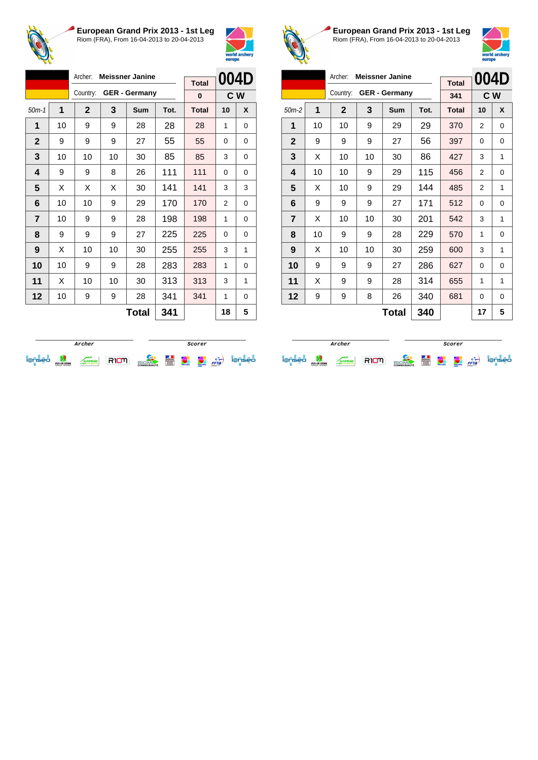



|                |    | Archer:     |    | <b>Meissner Janine</b> |      | <b>Total</b> | 004D |                |  |
|----------------|----|-------------|----|------------------------|------|--------------|------|----------------|--|
|                |    | Country:    |    | <b>GER - Germany</b>   |      | $\bf{0}$     |      | C <sub>W</sub> |  |
| $50m-1$        | 1  | $\mathbf 2$ | 3  | Sum                    | Tot. | <b>Total</b> | 10   | X              |  |
| 1              | 10 | 9           | 9  | 28                     | 28   | 28           | 1    | 0              |  |
| $\mathbf 2$    | 9  | 9           | 9  | 27                     | 55   | 55           | 0    | 0              |  |
| 3              | 10 | 10          | 10 | 30                     | 85   | 85           | 3    | 0              |  |
| 4              | 9  | 9           | 8  | 26                     | 111  | 111          | 0    | 0              |  |
| 5              | X  | X           | X  | 30                     | 141  | 141          | 3    | 3              |  |
| 6              | 10 | 10          | 9  | 29                     | 170  | 170          | 2    | 0              |  |
| $\overline{7}$ | 10 | 9           | 9  | 28                     | 198  | 198          | 1    | 0              |  |
| 8              | 9  | 9           | 9  | 27                     | 225  | 225          | 0    | 0              |  |
| 9              | X  | 10          | 10 | 30                     | 255  | 255          | 3    | 1              |  |
| 10             | 10 | 9           | 9  | 28                     | 283  | 283          | 1    | 0              |  |
| 11             | X  | 10          | 10 | 30                     | 313  | 313          | 3    | 1              |  |
| 12             | 10 | 9           | 9  | 28                     | 341  | 341          | 1    | 0              |  |
|                |    |             |    | <b>Total</b>           | 341  |              | 18   | 5              |  |



**European Grand Prix 2013 - 1st Leg** Riom (FRA), From 16-04-2013 to 20-04-2013



| Archer:<br><b>Meissner Janine</b> |              |             |    |                      |      |              |                | 004D     |
|-----------------------------------|--------------|-------------|----|----------------------|------|--------------|----------------|----------|
|                                   |              |             |    |                      |      | <b>Total</b> |                |          |
|                                   |              | Country:    |    | <b>GER - Germany</b> |      | 341          |                | C W      |
| $50m-2$                           | 1            | $\mathbf 2$ | 3  | Sum                  | Tot. | <b>Total</b> | 10             | X        |
| 1                                 | 10           | 10          | 9  | 29                   | 29   | 370          | 2              | 0        |
| $\mathbf{2}$                      | 9            | 9           | 9  | 27                   | 56   | 397          | 0              | 0        |
| 3                                 | X            | 10          | 10 | 30                   | 86   | 427          | 3              | 1        |
| 4                                 | 10           | 10          | 9  | 29                   | 115  | 456          | 2              | 0        |
| 5                                 | X            | 10          | 9  | 29                   | 144  | 485          | $\overline{2}$ | 1        |
| 6                                 | 9            | 9           | 9  | 27                   | 171  | 512          | 0              | 0        |
| $\overline{7}$                    | X            | 10          | 10 | 30                   | 201  | 542          | 3              | 1        |
| 8                                 | 10           | 9           | 9  | 28                   | 229  | 570          | 1              | 0        |
| 9                                 | X            | 10          | 10 | 30                   | 259  | 600          | 3              | 1        |
| 10                                | 9            | 9           | 9  | 27                   | 286  | 627          | 0              | 0        |
| 11                                | X            | 9           | 9  | 28                   | 314  | 655          | 1              | 1        |
| 12                                | 9            | 9           | 8  | 26                   | 340  | 681          | 0              | $\Omega$ |
|                                   | 340<br>Total |             |    |                      |      |              | 17             | 5        |

|                                    |                                |               |  | Scorer            |   |              |                                  |      |    |
|------------------------------------|--------------------------------|---------------|--|-------------------|---|--------------|----------------------------------|------|----|
| $\sim$<br>$\overline{\phantom{a}}$ | PUY-DE-DÔME<br>CONSEIL GENERAL | <b>TERGNE</b> |  | <b>COMMUNAUTÉ</b> | Ë | weld and ser | <b>COMMERCE</b><br><b>Horses</b> | FFTa | eо |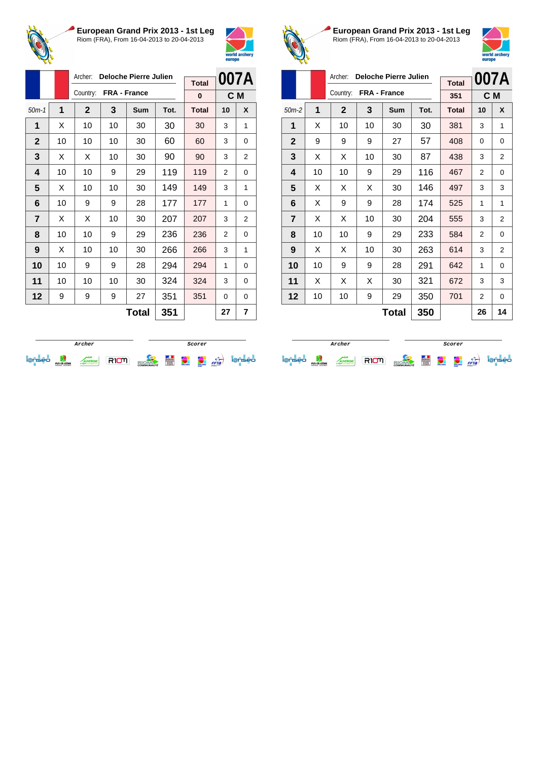



|                |    | Archer:      |    | <b>Deloche Pierre Julien</b> |      |              |                | 007A |
|----------------|----|--------------|----|------------------------------|------|--------------|----------------|------|
|                |    | Country:     |    | FRA - France                 |      | <b>Total</b> |                |      |
|                |    |              |    |                              |      | $\bf{0}$     | C M            |      |
| $50m-1$        | 1  | $\mathbf{2}$ | 3  | Sum                          | Tot. | <b>Total</b> | 10             | X    |
| 1              | X  | 10           | 10 | 30                           | 30   | 30           | 3              | 1    |
| $\mathbf{2}$   | 10 | 10           | 10 | 30                           | 60   | 60           | 3              | 0    |
| 3              | X  | X            | 10 | 30                           | 90   | 90           | 3              | 2    |
| 4              | 10 | 10           | 9  | 29                           | 119  | 119          | $\overline{2}$ | 0    |
| 5              | X  | 10           | 10 | 30                           | 149  | 149          | 3              | 1    |
| 6              | 10 | 9            | 9  | 28                           | 177  | 177          | 1              | 0    |
| $\overline{7}$ | X  | X            | 10 | 30                           | 207  | 207          | 3              | 2    |
| 8              | 10 | 10           | 9  | 29                           | 236  | 236          | 2              | 0    |
| 9              | X  | 10           | 10 | 30                           | 266  | 266          | 3              | 1    |
| 10             | 10 | 9            | 9  | 28                           | 294  | 294          | 1              | 0    |
| 11             | 10 | 10           | 10 | 30                           | 324  | 324          | 3              | 0    |
| 12             | 9  | 9            | 9  | 27                           | 351  | 351          | 0              | 0    |
|                |    |              |    | <b>Total</b>                 | 351  |              | 27             | 7    |



**European Grand Prix 2013 - 1st Leg** Riom (FRA), From 16-04-2013 to 20-04-2013



|                |    | Archer:<br><b>Deloche Pierre Julien</b> |              |       | 007A |              |    |                |
|----------------|----|-----------------------------------------|--------------|-------|------|--------------|----|----------------|
|                |    |                                         |              |       |      | <b>Total</b> |    |                |
|                |    | Country:                                | FRA - France |       |      | 351          |    | C M            |
| $50m-2$        | 1  | $\mathbf{2}$                            | 3            | Sum   | Tot. | <b>Total</b> | 10 | X              |
| 1              | X  | 10                                      | 10           | 30    | 30   | 381          | 3  | 1              |
| $\mathbf{2}$   | 9  | 9                                       | 9            | 27    | 57   | 408          | 0  | 0              |
| 3              | X  | X                                       | 10           | 30    | 87   | 438          | 3  | 2              |
| 4              | 10 | 10                                      | 9            | 29    | 116  | 467          | 2  | $\Omega$       |
| 5              | X  | X                                       | X            | 30    | 146  | 497          | 3  | 3              |
| 6              | X  | 9                                       | 9            | 28    | 174  | 525          | 1  | 1              |
| $\overline{7}$ | X  | X                                       | 10           | 30    | 204  | 555          | 3  | $\overline{2}$ |
| 8              | 10 | 10                                      | 9            | 29    | 233  | 584          | 2  | 0              |
| 9              | X  | X                                       | 10           | 30    | 263  | 614          | 3  | $\overline{2}$ |
| 10             | 10 | 9                                       | 9            | 28    | 291  | 642          | 1  | 0              |
| 11             | X  | X                                       | X            | 30    | 321  | 672          | 3  | 3              |
| 12             | 10 | 10                                      | 9            | 29    | 350  | 701          | 2  | 0              |
|                |    |                                         |              | Total | 350  |              | 26 | 14             |

|   | Archer                         |  |  |                   |                   |             | Scorer                        |      |    |
|---|--------------------------------|--|--|-------------------|-------------------|-------------|-------------------------------|------|----|
| - | PUY-DE-DÔME<br>CONSEIL GENERAL |  |  | <b>COMMUNAUTÉ</b> | <b>State</b><br>E | went and on | <b>ARMAN</b><br><b>Harton</b> | FFTa | 90 |

**Archer Scorer Scorer** ieniei was arrest RIOM and a profile of the state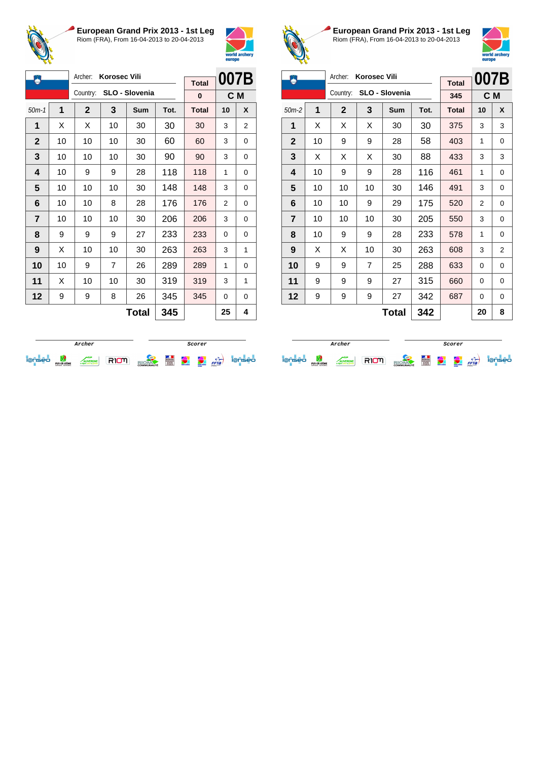



| Ä              |              | Archer:     | <b>Korosec Vili</b> |                |      | <b>Total</b> | 007B     |     |
|----------------|--------------|-------------|---------------------|----------------|------|--------------|----------|-----|
|                |              | Country:    |                     | SLO - Slovenia |      | 0            |          | C M |
| $50m-1$        | $\mathbf{1}$ | $\mathbf 2$ | 3                   | Sum            | Tot. | <b>Total</b> | 10       | X   |
| 1              | X            | X           | 10                  | 30             | 30   | 30           | 3        | 2   |
| $\mathbf{2}$   | 10           | 10          | 10                  | 30             | 60   | 60           | 3        | 0   |
| 3              | 10           | 10          | 10                  | 30             | 90   | 90           | 3        | 0   |
| 4              | 10           | 9           | 9                   | 28             | 118  | 118          | 1        | 0   |
| 5              | 10           | 10          | 10                  | 30             | 148  | 148          | 3        | 0   |
| 6              | 10           | 10          | 8                   | 28             | 176  | 176          | 2        | 0   |
| $\overline{7}$ | 10           | 10          | 10                  | 30             | 206  | 206          | 3        | 0   |
| 8              | 9            | 9           | 9                   | 27             | 233  | 233          | $\Omega$ | 0   |
| 9              | X            | 10          | 10                  | 30             | 263  | 263          | 3        | 1   |
| 10             | 10           | 9           | $\overline{7}$      | 26             | 289  | 289          | 1        | 0   |
| 11             | X            | 10          | 10                  | 30             | 319  | 319          | 3        | 1   |
| 12             | 9            | 9           | 8                   | 26             | 345  | 345          | 0        | 0   |
|                |              |             |                     | <b>Total</b>   | 345  |              | 25       | 4   |



**European Grand Prix 2013 - 1st Leg** Riom (FRA), From 16-04-2013 to 20-04-2013



|                |    | Archer:<br><b>Korosec Vili</b> |    |                | 007B |              |    |          |
|----------------|----|--------------------------------|----|----------------|------|--------------|----|----------|
|                |    | Country:                       |    | SLO - Slovenia |      | <b>Total</b> |    |          |
|                |    |                                |    |                |      | 345          |    | C M      |
| $50m-2$        | 1  | $\mathbf{2}$                   | 3  | Sum            | Tot. | <b>Total</b> | 10 | X        |
| 1              | X  | X                              | X  | 30             | 30   | 375          | 3  | 3        |
| $\mathbf{2}$   | 10 | 9                              | 9  | 28             | 58   | 403          | 1  | 0        |
| 3              | X  | X                              | X  | 30             | 88   | 433          | 3  | 3        |
| 4              | 10 | 9                              | 9  | 28             | 116  | 461          | 1  | 0        |
| 5              | 10 | 10                             | 10 | 30             | 146  | 491          | 3  | 0        |
| 6              | 10 | 10                             | 9  | 29             | 175  | 520          | 2  | 0        |
| $\overline{7}$ | 10 | 10                             | 10 | 30             | 205  | 550          | 3  | 0        |
| 8              | 10 | 9                              | 9  | 28             | 233  | 578          | 1  | 0        |
| 9              | X  | X                              | 10 | 30             | 263  | 608          | 3  | 2        |
| 10             | 9  | 9                              | 7  | 25             | 288  | 633          | 0  | $\Omega$ |
| 11             | 9  | 9                              | 9  | 27             | 315  | 660          | 0  | 0        |
| 12             | 9  | 9                              | 9  | 27             | 342  | 687          | 0  | 0        |
|                |    |                                |    | 20             | 8    |              |    |          |

| Archer                         |  |  |                   |   |               | Scorer                                            |      |    |
|--------------------------------|--|--|-------------------|---|---------------|---------------------------------------------------|------|----|
| PUY-DE-DÔME<br>CONSEIL GENERAL |  |  | <b>COMMUNAUTÉ</b> | Ë | world archery | <b><i><u>Parts and a</u></i></b><br><b>AUTORS</b> | FFTa | 20 |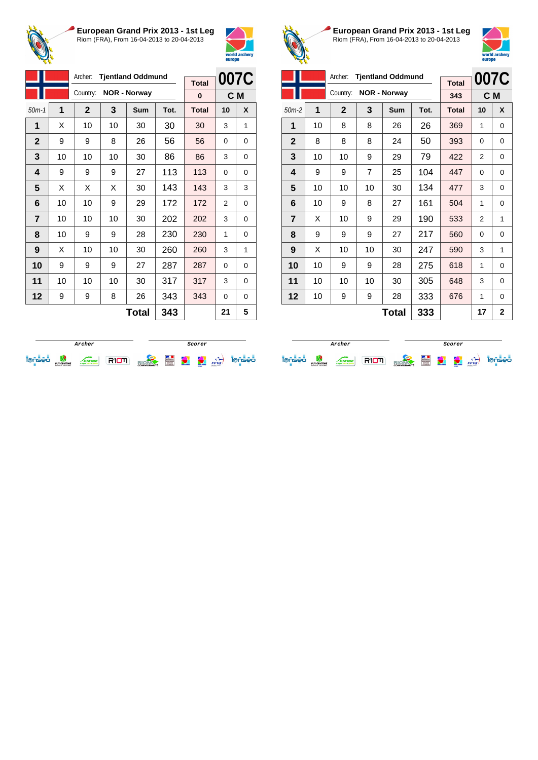



|                |    | Archer:      |    | <b>Tjentland Oddmund</b> |      |              | 007C     |   |
|----------------|----|--------------|----|--------------------------|------|--------------|----------|---|
|                |    |              |    |                          |      | <b>Total</b> |          |   |
|                |    | Country:     |    | <b>NOR - Norway</b>      |      | 0            | C M      |   |
| $50m-1$        | 1  | $\mathbf{2}$ | 3  | Sum                      | Tot. | <b>Total</b> | 10       | X |
| 1              | X  | 10           | 10 | 30                       | 30   | 30           | 3        | 1 |
| $\mathbf{2}$   | 9  | 9            | 8  | 26                       | 56   | 56           | 0        | 0 |
| 3              | 10 | 10           | 10 | 30                       | 86   | 86           | 3        | 0 |
| 4              | 9  | 9            | 9  | 27                       | 113  | 113          | $\Omega$ | 0 |
| 5              | X  | X            | X  | 30                       | 143  | 143          | 3        | 3 |
| 6              | 10 | 10           | 9  | 29                       | 172  | 172          | 2        | 0 |
| $\overline{7}$ | 10 | 10           | 10 | 30                       | 202  | 202          | 3        | 0 |
| 8              | 10 | 9            | 9  | 28                       | 230  | 230          | 1        | 0 |
| 9              | X  | 10           | 10 | 30                       | 260  | 260          | 3        | 1 |
| 10             | 9  | 9            | 9  | 27                       | 287  | 287          | 0        | 0 |
| 11             | 10 | 10           | 10 | 30                       | 317  | 317          | 3        | 0 |
| 12             | 9  | 9            | 8  | 26                       | 343  | 343          | $\Omega$ | 0 |
|                |    |              |    | <b>Total</b>             | 343  |              | 21       | 5 |



**European Grand Prix 2013 - 1st Leg** Riom (FRA), From 16-04-2013 to 20-04-2013



| Archer:<br><b>Tjentland Oddmund</b> |    |              |                |                     |      |              |    | 007C           |
|-------------------------------------|----|--------------|----------------|---------------------|------|--------------|----|----------------|
|                                     |    |              |                |                     |      | <b>Total</b> |    |                |
|                                     |    | Country:     |                | <b>NOR - Norway</b> |      | 343          |    | C M            |
| $50m-2$                             | 1  | $\mathbf{2}$ | 3              | <b>Sum</b>          | Tot. | <b>Total</b> | 10 | X              |
| 1                                   | 10 | 8            | 8              | 26                  | 26   | 369          | 1  | $\Omega$       |
| $\mathbf{2}$                        | 8  | 8            | 8              | 24                  | 50   | 393          | 0  | 0              |
| 3                                   | 10 | 10           | 9              | 29                  | 79   | 422          | 2  | 0              |
| 4                                   | 9  | 9            | $\overline{7}$ | 25                  | 104  | 447          | 0  | 0              |
| 5                                   | 10 | 10           | 10             | 30                  | 134  | 477          | 3  | 0              |
| 6                                   | 10 | 9            | 8              | 27                  | 161  | 504          | 1  | 0              |
| $\overline{7}$                      | X  | 10           | 9              | 29                  | 190  | 533          | 2  | 1              |
| 8                                   | 9  | 9            | 9              | 27                  | 217  | 560          | 0  | 0              |
| 9                                   | X  | 10           | 10             | 30                  | 247  | 590          | 3  | 1              |
| 10                                  | 10 | 9            | 9              | 28                  | 275  | 618          | 1  | $\Omega$       |
| 11                                  | 10 | 10           | 10             | 30                  | 305  | 648          | 3  | 0              |
| 12                                  | 10 | 9            | 9              | 28                  | 333  | 676          | 1  | $\Omega$       |
|                                     |    |              |                | Total               | 333  |              | 17 | $\overline{2}$ |

|                                    | Archer                         |               |  |                   |   |              | Scorer                           |      |    |
|------------------------------------|--------------------------------|---------------|--|-------------------|---|--------------|----------------------------------|------|----|
| $\sim$<br>$\overline{\phantom{a}}$ | PUY-DE-DÔME<br>CONSEIL GENERAL | <b>TERGNE</b> |  | <b>COMMUNAUTÉ</b> | Ë | weld and ser | <b>COMMERCE</b><br><b>Horses</b> | FFTa | eо |

**Archer Scorer Scorer** iense de comme RIOM alone de la partie iense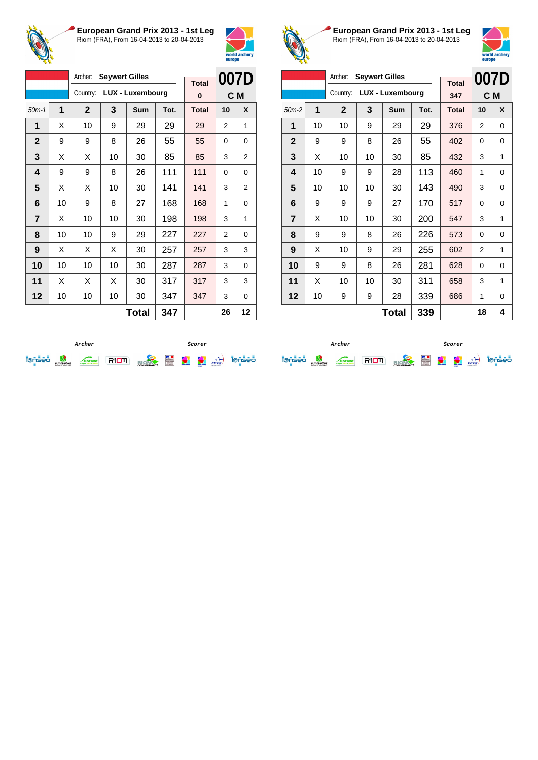



|                |    | Archer:      | <b>Seywert Gilles</b> |                         |      |              |      |                |
|----------------|----|--------------|-----------------------|-------------------------|------|--------------|------|----------------|
|                |    |              |                       |                         |      | <b>Total</b> | 007D |                |
|                |    | Country:     |                       | <b>LUX - Luxembourg</b> |      | 0            |      | C M            |
| $50m-1$        | 1  | $\mathbf{2}$ | 3                     | Sum                     | Tot. | <b>Total</b> | 10   | X              |
| 1              | X  | 10           | 9                     | 29                      | 29   | 29           | 2    | 1              |
| $\mathbf 2$    | 9  | 9            | 8                     | 26                      | 55   | 55           | 0    | 0              |
| 3              | X  | X            | 10                    | 30                      | 85   | 85           | 3    | $\overline{2}$ |
| 4              | 9  | 9            | 8                     | 26                      | 111  | 111          | 0    | 0              |
| 5              | X  | X            | 10                    | 30                      | 141  | 141          | 3    | 2              |
| 6              | 10 | 9            | 8                     | 27                      | 168  | 168          | 1    | 0              |
| $\overline{7}$ | X  | 10           | 10                    | 30                      | 198  | 198          | 3    | 1              |
| 8              | 10 | 10           | 9                     | 29                      | 227  | 227          | 2    | 0              |
| 9              | X  | X            | X                     | 30                      | 257  | 257          | 3    | 3              |
| 10             | 10 | 10           | 10                    | 30                      | 287  | 287          | 3    | 0              |
| 11             | X  | X            | X                     | 30                      | 317  | 317          | 3    | 3              |
| 12             | 10 | 10           | 10                    | 30                      | 347  | 347          | 3    | 0              |
|                |    |              |                       | エヘィヘー                   | クイフ  |              | ጎድ   | 10             |

**Total 347 26 12**



**European Grand Prix 2013 - 1st Leg** Riom (FRA), From 16-04-2013 to 20-04-2013



| Archer:<br><b>Seywert Gilles</b> |              |             |    |                  |      |              | 007D |          |
|----------------------------------|--------------|-------------|----|------------------|------|--------------|------|----------|
|                                  |              |             |    |                  |      | <b>Total</b> |      |          |
|                                  |              | Country:    |    | LUX - Luxembourg |      | 347          |      | C M      |
| $50m-2$                          | 1            | $\mathbf 2$ | 3  | <b>Sum</b>       | Tot. | <b>Total</b> | 10   | X        |
| 1                                | 10           | 10          | 9  | 29               | 29   | 376          | 2    | $\Omega$ |
| $\mathbf{2}$                     | 9            | 9           | 8  | 26               | 55   | 402          | 0    | 0        |
| 3                                | X            | 10          | 10 | 30               | 85   | 432          | 3    | 1        |
| 4                                | 10           | 9           | 9  | 28               | 113  | 460          | 1    | 0        |
| 5                                | 10           | 10          | 10 | 30               | 143  | 490          | 3    | 0        |
| 6                                | 9            | 9           | 9  | 27               | 170  | 517          | 0    | 0        |
| $\overline{7}$                   | X            | 10          | 10 | 30               | 200  | 547          | 3    | 1        |
| 8                                | 9            | 9           | 8  | 26               | 226  | 573          | 0    | 0        |
| 9                                | X            | 10          | 9  | 29               | 255  | 602          | 2    | 1        |
| 10                               | 9            | 9           | 8  | 26               | 281  | 628          | 0    | 0        |
| 11                               | X            | 10          | 10 | 30               | 311  | 658          | 3    | 1        |
| 12                               | 10           | 9           | 9  | 28               | 339  | 686          | 1    | $\Omega$ |
|                                  | 339<br>Total |             |    |                  |      |              | 18   | 4        |

|   |                                |              |  | Scorer            |   |                   |                                  |      |     |
|---|--------------------------------|--------------|--|-------------------|---|-------------------|----------------------------------|------|-----|
| - | PUY-DE-DÔME<br>CONSEIL GENERAL | <b>ERGNE</b> |  | <b>COMMUNAUTÉ</b> | E | <b>CONTRACTOR</b> | <b>ARRAIGHT</b><br><b>AUTORS</b> | FFTa | seo |

**Archer Scorer**iense de comme RIOM alexander de la cie iense de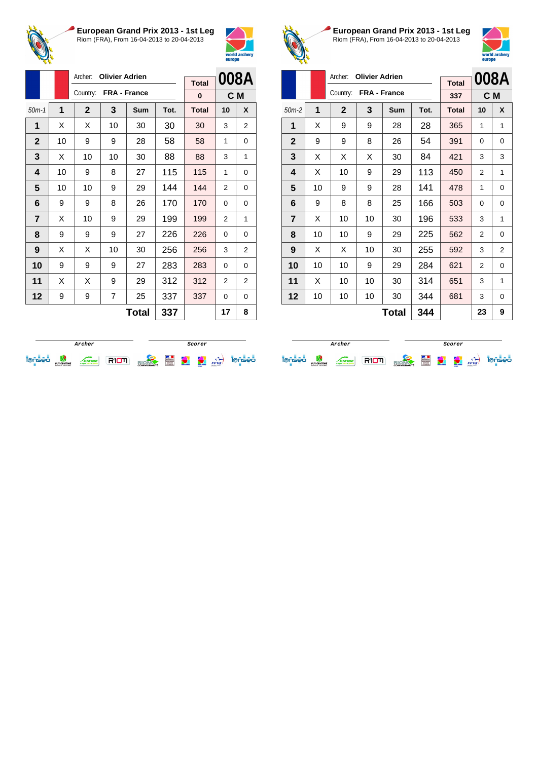



|                |    | Archer:      | <b>Olivier Adrien</b> |                     |     |                   |                | 008A           |
|----------------|----|--------------|-----------------------|---------------------|-----|-------------------|----------------|----------------|
|                |    | Country:     |                       | <b>FRA - France</b> |     | <b>Total</b><br>0 | C M            |                |
| $50m-1$        | 1  | $\mathbf{2}$ | 3                     | <b>Total</b>        | 10  | X                 |                |                |
| 1              | X  | Χ            | 10                    | 30                  | 30  | 30                | 3              | 2              |
| $\mathbf{2}$   | 10 | 9            | 9                     | 28                  | 58  | 58                | 1              | 0              |
| 3              | X  | 10           | 10                    | 30                  | 88  | 88                | 3              | 1              |
| 4              | 10 | 9            | 8                     | 27                  | 115 | 115               | 1              | 0              |
| 5              | 10 | 10           | 9                     | 29                  | 144 | 144               | $\overline{2}$ | 0              |
| 6              | 9  | 9            | 8                     | 26                  | 170 | 170               | 0              | 0              |
| $\overline{7}$ | X  | 10           | 9                     | 29                  | 199 | 199               | $\overline{2}$ | 1              |
| 8              | 9  | 9            | 9                     | 27                  | 226 | 226               | $\Omega$       | 0              |
| 9              | X  | X            | 10                    | 30                  | 256 | 256               | 3              | $\overline{2}$ |
| 10             | 9  | 9            | 9                     | 27                  | 283 | 283               | $\Omega$       | 0              |
| 11             | X  | X            | 9                     | 29                  | 312 | 312               | 2              | 2              |
| 12             | 9  | 9            | 7                     | 25                  | 337 | 337               | 0              | 0              |
|                |    |              |                       | <b>Total</b>        | 337 |                   | 17             | 8              |



**European Grand Prix 2013 - 1st Leg** Riom (FRA), From 16-04-2013 to 20-04-2013



|                         |    | Archer:      | <b>Olivier Adrien</b> |            |      |              | 008A           |          |
|-------------------------|----|--------------|-----------------------|------------|------|--------------|----------------|----------|
|                         |    |              |                       |            |      | <b>Total</b> |                |          |
|                         |    | Country:     | FRA - France          |            |      | 337          | C <sub>M</sub> |          |
| $50m-2$                 | 1  | $\mathbf{2}$ | 3                     | <b>Sum</b> | Tot. | <b>Total</b> | 10             | X        |
| 1                       | X  | 9            | 9                     | 28         | 28   | 365          | 1              | 1        |
| $\mathbf{2}$            | 9  | 9            | 8                     | 26         | 54   | 391          | 0              | 0        |
| 3                       | X  | X            | X                     | 30         | 84   | 421          | 3              | 3        |
| $\overline{\mathbf{4}}$ | X  | 10           | 9                     | 29         | 113  | 450          | 2              | 1        |
| 5                       | 10 | 9            | 9                     | 28         | 141  | 478          | 1              | 0        |
| 6                       | 9  | 8            | 8                     | 25         | 166  | 503          | 0              | 0        |
| $\overline{7}$          | X  | 10           | 10                    | 30         | 196  | 533          | 3              | 1        |
| 8                       | 10 | 10           | 9                     | 29         | 225  | 562          | $\overline{2}$ | 0        |
| 9                       | X  | X            | 10                    | 30         | 255  | 592          | 3              | 2        |
| 10                      | 10 | 10           | 9                     | 29         | 284  | 621          | 2              | $\Omega$ |
| 11                      | X  | 10           | 10                    | 30         | 314  | 651          | 3              | 1        |
| 12                      | 10 | 10           | 10                    | 30         | 344  | 681          | 3              | 0        |
|                         |    |              |                       | Total      | 344  |              | 23             | 9        |

|   | Archer                         |                 |  |                   |   |                | Scorer                          |      |  |
|---|--------------------------------|-----------------|--|-------------------|---|----------------|---------------------------------|------|--|
| - | PUY-DE-DÔME<br>CONSEIL GENERAL | <b>LIVERGNE</b> |  | <b>COMMUNAUTÉ</b> | E | <b>COMPANY</b> | <b>STATION</b><br><b>Horses</b> | FFTa |  |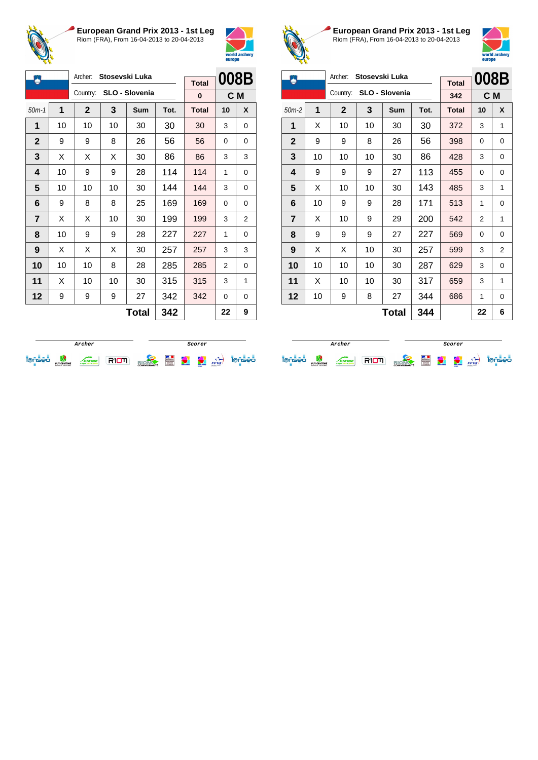



| ۸              |    | Archer:        |    | Stosevski Luka |      |              | 008B |     |
|----------------|----|----------------|----|----------------|------|--------------|------|-----|
|                |    |                |    |                |      | <b>Total</b> |      |     |
|                |    | Country:       |    | SLO - Slovenia |      | 0            |      | C M |
| $50m-1$        | 1  | $\overline{2}$ | 3  | Sum            | Tot. | <b>Total</b> | 10   | X   |
| 1              | 10 | 10             | 10 | 30             | 30   | 30           | 3    | 0   |
| $\overline{2}$ | 9  | 9              | 8  | 26             | 56   | 56           | 0    | 0   |
| 3              | X  | X              | X  | 30             | 86   | 86           | 3    | 3   |
| 4              | 10 | 9              | 9  | 28             | 114  | 114          | 1    | 0   |
| 5              | 10 | 10             | 10 | 30             | 144  | 144          | 3    | 0   |
| 6              | 9  | 8              | 8  | 25             | 169  | 169          | 0    | 0   |
| $\overline{7}$ | X  | X              | 10 | 30             | 199  | 199          | 3    | 2   |
| 8              | 10 | 9              | 9  | 28             | 227  | 227          | 1    | 0   |
| 9              | х  | X              | X  | 30             | 257  | 257          | 3    | 3   |
| 10             | 10 | 10             | 8  | 28             | 285  | 285          | 2    | 0   |
| 11             | X  | 10             | 10 | 30             | 315  | 315          | 3    | 1   |
| 12             | 9  | 9              | 9  | 27             | 342  | 342          | 0    | 0   |
|                |    |                |    | <b>Total</b>   | 342  |              | 22   | 9   |



**European Grand Prix 2013 - 1st Leg** Riom (FRA), From 16-04-2013 to 20-04-2013



| m              |    | Archer:      |    | Stosevski Luka |      |              | 008B |          |
|----------------|----|--------------|----|----------------|------|--------------|------|----------|
|                |    |              |    |                |      | <b>Total</b> |      |          |
|                |    | Country:     |    | SLO - Slovenia |      | 342          |      | C M      |
| $50m-2$        | 1  | $\mathbf{2}$ | 3  | <b>Sum</b>     | Tot. | <b>Total</b> | 10   | X        |
| 1              | X  | 10           | 10 | 30             | 30   | 372          | 3    | 1        |
| $\mathbf{2}$   | 9  | 9            | 8  | 26             | 56   | 398          | 0    | 0        |
| 3              | 10 | 10           | 10 | 30             | 86   | 428          | 3    | $\Omega$ |
| 4              | 9  | 9            | 9  | 27             | 113  | 455          | 0    | 0        |
| 5              | X  | 10           | 10 | 30             | 143  | 485          | 3    | 1        |
| 6              | 10 | 9            | 9  | 28             | 171  | 513          | 1    | 0        |
| $\overline{7}$ | X  | 10           | 9  | 29             | 200  | 542          | 2    | 1        |
| 8              | 9  | 9            | 9  | 27             | 227  | 569          | 0    | 0        |
| 9              | X  | X            | 10 | 30             | 257  | 599          | 3    | 2        |
| 10             | 10 | 10           | 10 | 30             | 287  | 629          | 3    | $\Omega$ |
| 11             | X  | 10           | 10 | 30             | 317  | 659          | 3    | 1        |
| 12             | 10 | 9            | 8  | 27             | 344  | 686          | 1    | 0        |
|                |    |              |    | <b>Total</b>   | 344  |              | 22   | 6        |

|   |                                |               |  | Scorer            |   |                   |                                    |           |  |
|---|--------------------------------|---------------|--|-------------------|---|-------------------|------------------------------------|-----------|--|
| - | PUY-DE-DÔME<br>CONSEIL GENERAL | <b>TERGNE</b> |  | <b>COMMUNAUTÉ</b> | Ē | <b>AND AND OF</b> | <b>CONTRACTOR</b><br><b>AUTORS</b> | ↽<br>FFTa |  |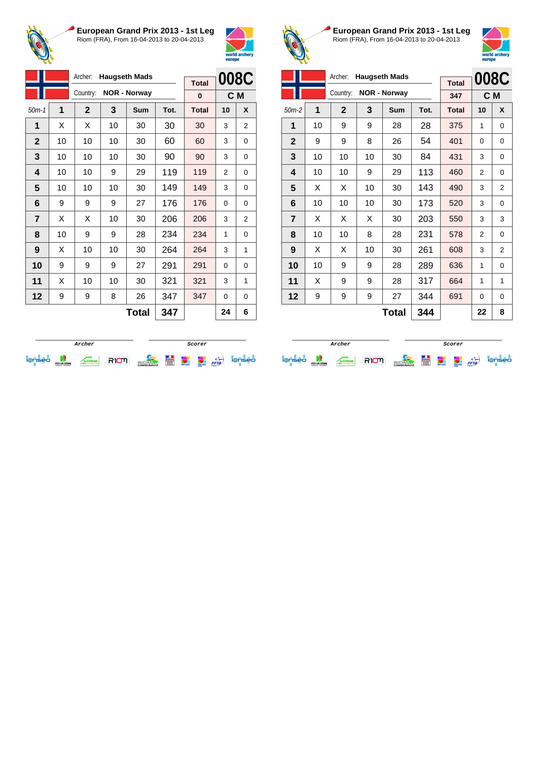



|                |    | Archer:<br><b>Haugseth Mads</b> |    |                     |      |              |                | 008C |
|----------------|----|---------------------------------|----|---------------------|------|--------------|----------------|------|
|                |    |                                 |    |                     |      | <b>Total</b> |                |      |
|                |    | Country:                        |    | <b>NOR - Norway</b> |      | 0            | C <sub>M</sub> |      |
| $50m-1$        | 1  | $\mathbf{2}$                    | 3  | Sum                 | Tot. | <b>Total</b> | 10             | X    |
| 1              | X  | X                               | 10 | 30                  | 30   | 30           | 3              | 2    |
| $\mathbf{2}$   | 10 | 10                              | 10 | 30                  | 60   | 60           | 3              | 0    |
| 3              | 10 | 10                              | 10 | 30                  | 90   | 90           | 3              | 0    |
| 4              | 10 | 10                              | 9  | 29                  | 119  | 119          | 2              | 0    |
| 5              | 10 | 10                              | 10 | 30                  | 149  | 149          | 3              | 0    |
| 6              | 9  | 9                               | 9  | 27                  | 176  | 176          | 0              | 0    |
| $\overline{7}$ | X  | X                               | 10 | 30                  | 206  | 206          | 3              | 2    |
| 8              | 10 | 9                               | 9  | 28                  | 234  | 234          | 1              | 0    |
| 9              | X  | 10                              | 10 | 30                  | 264  | 264          | 3              | 1    |
| 10             | 9  | 9                               | 9  | 27                  | 291  | 291          | 0              | 0    |
| 11             | X  | 10                              | 10 | 30                  | 321  | 321          | 3              | 1    |
| 12             | 9  | 9                               | 8  | 26                  | 347  | 347          | 0              | 0    |
|                |    |                                 |    | Tatal               | ヘイフ  |              | n A            | c    |

**Total 347 24 6**



**European Grand Prix 2013 - 1st Leg** Riom (FRA), From 16-04-2013 to 20-04-2013



|                |    | Archer:      |    | <b>Haugseth Mads</b> |      |              |                | 008C           |
|----------------|----|--------------|----|----------------------|------|--------------|----------------|----------------|
|                |    |              |    |                      |      | <b>Total</b> |                |                |
|                |    | Country:     |    | <b>NOR - Norway</b>  |      | 347          | C <sub>M</sub> |                |
| $50m-2$        | 1  | $\mathbf{2}$ | 3  | <b>Sum</b>           | Tot. | <b>Total</b> | 10             | X              |
| 1              | 10 | 9            | 9  | 28                   | 28   | 375          | 1              | 0              |
| $\mathbf{2}$   | 9  | 9            | 8  | 26                   | 54   | 401          | 0              | 0              |
| 3              | 10 | 10           | 10 | 30                   | 84   | 431          | 3              | 0              |
| 4              | 10 | 10           | 9  | 29                   | 113  | 460          | 2              | 0              |
| 5              | X  | X            | 10 | 30                   | 143  | 490          | 3              | 2              |
| 6              | 10 | 10           | 10 | 30                   | 173  | 520          | 3              | 0              |
| $\overline{7}$ | X  | X            | X  | 30                   | 203  | 550          | 3              | 3              |
| 8              | 10 | 10           | 8  | 28                   | 231  | 578          | 2              | 0              |
| 9              | X  | X            | 10 | 30                   | 261  | 608          | 3              | $\overline{2}$ |
| 10             | 10 | 9            | 9  | 28                   | 289  | 636          | 1              | 0              |
| 11             | X  | 9            | 9  | 28                   | 317  | 664          | 1              | 1              |
| 12             | 9  | 9            | 9  | 27                   | 344  | 691          | 0              | 0              |
|                |    |              | 22 | 8                    |      |              |                |                |

|                          |                                |             |  | Scorer            |   |            |                                |      |    |
|--------------------------|--------------------------------|-------------|--|-------------------|---|------------|--------------------------------|------|----|
| $\overline{\phantom{a}}$ | PUY-DE-DÔME<br>CONSEIL GENERAL | <b>RGNE</b> |  | <b>COMMUNAUTÉ</b> | Ë | weld ander | <b>COLUMN</b><br><b>Horses</b> | FFTa | ∍∩ |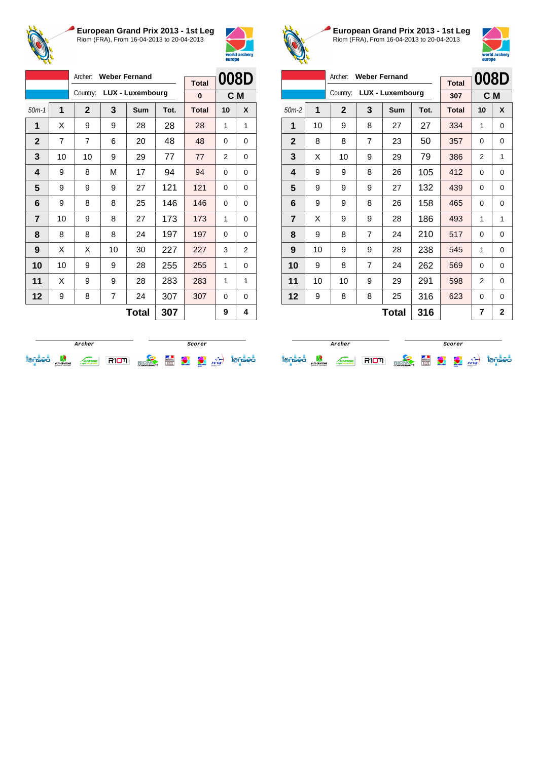



|                         |    | Archer:        |    | <b>Weber Fernand</b>    |      | <b>Total</b> | 008D     |   |
|-------------------------|----|----------------|----|-------------------------|------|--------------|----------|---|
|                         |    | Country:       |    | <b>LUX - Luxembourg</b> |      | 0            | C M      |   |
| $50m-1$                 | 1  | $\mathbf{2}$   | 3  | Sum                     | Tot. | <b>Total</b> | 10       | X |
| 1                       | X  | 9              | 9  | 28                      | 28   | 28           | 1        | 1 |
| $\mathbf{2}$            | 7  | $\overline{7}$ | 6  | 20                      | 48   | 48           | $\Omega$ | 0 |
| 3                       | 10 | 10             | 9  | 29                      | 77   | 77           | 2        | 0 |
| $\overline{\mathbf{4}}$ | 9  | 8              | М  | 17                      | 94   | 94           | $\Omega$ | 0 |
| 5                       | 9  | 9              | 9  | 27                      | 121  | 121          | 0        | 0 |
| 6                       | 9  | 8              | 8  | 25                      | 146  | 146          | 0        | 0 |
| 7                       | 10 | 9              | 8  | 27                      | 173  | 173          | 1        | 0 |
| 8                       | 8  | 8              | 8  | 24                      | 197  | 197          | $\Omega$ | 0 |
| 9                       | X  | X              | 10 | 30                      | 227  | 227          | 3        | 2 |
| 10                      | 10 | 9              | 9  | 28                      | 255  | 255          | 1        | 0 |
| 11                      | X  | 9              | 9  | 28                      | 283  | 283          | 1        | 1 |
| $12 \,$                 | 9  | 8              | 7  | 24                      | 307  | 307          | 0        | 0 |
|                         |    |                |    | <b>Total</b>            | 307  |              | 9        | 4 |



**European Grand Prix 2013 - 1st Leg** Riom (FRA), From 16-04-2013 to 20-04-2013



|                | Archer:<br><b>Weber Fernand</b> |              |   |                         |      |              | 008D |                |
|----------------|---------------------------------|--------------|---|-------------------------|------|--------------|------|----------------|
|                |                                 |              |   |                         |      | <b>Total</b> |      |                |
|                |                                 | Country:     |   | <b>LUX - Luxembourg</b> |      | 307          |      | C M            |
| $50m-2$        | 1                               | $\mathbf{2}$ | 3 | <b>Sum</b>              | Tot. | <b>Total</b> | 10   | X              |
| 1              | 10                              | 9            | 8 | 27                      | 27   | 334          | 1    | 0              |
| $\mathbf{2}$   | 8                               | 8            | 7 | 23                      | 50   | 357          | 0    | 0              |
| 3              | X                               | 10           | 9 | 29                      | 79   | 386          | 2    | 1              |
| 4              | 9                               | 9            | 8 | 26                      | 105  | 412          | 0    | $\Omega$       |
| 5              | 9                               | 9            | 9 | 27                      | 132  | 439          | 0    | 0              |
| 6              | 9                               | 9            | 8 | 26                      | 158  | 465          | 0    | 0              |
| $\overline{7}$ | X                               | 9            | 9 | 28                      | 186  | 493          | 1    | 1              |
| 8              | 9                               | 8            | 7 | 24                      | 210  | 517          | 0    | 0              |
| 9              | 10                              | 9            | 9 | 28                      | 238  | 545          | 1    | $\Omega$       |
| 10             | 9                               | 8            | 7 | 24                      | 262  | 569          | 0    | $\Omega$       |
| 11             | 10                              | 10           | 9 | 29                      | 291  | 598          | 2    | 0              |
| 12             | 9                               | 8            | 8 | 25                      | 316  | 623          | 0    | 0              |
|                |                                 |              |   | <b>Total</b>            | 316  |              | 7    | $\overline{2}$ |

|        |                                |  |  | Scorer            |   |                |                                  |      |    |
|--------|--------------------------------|--|--|-------------------|---|----------------|----------------------------------|------|----|
| $\sim$ | PUY-DE-DÔME<br>CONSEIL GENERAL |  |  | <b>COMMUNAUTÉ</b> | E | <b>COMMAND</b> | <b>COMMERCE</b><br><b>Horses</b> | FFTa | ∍∩ |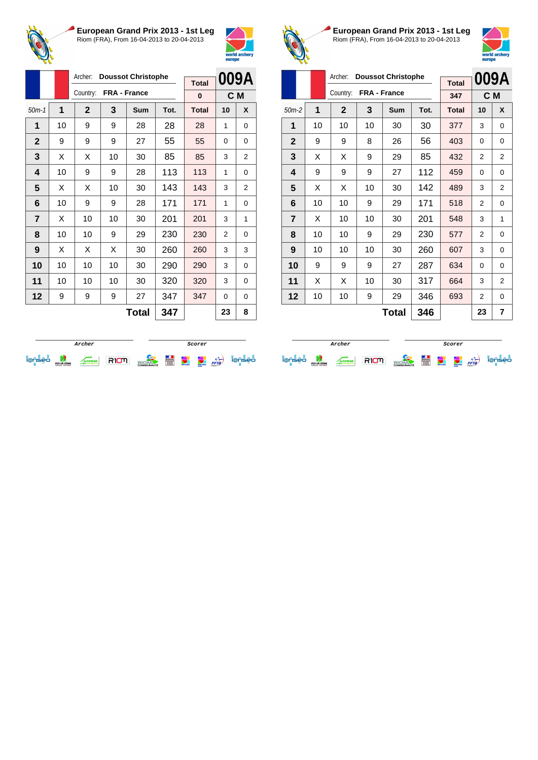



|    |              |         |              |              | <b>Total</b>              |                |      |
|----|--------------|---------|--------------|--------------|---------------------------|----------------|------|
|    | Country:     |         |              |              | 0                         | C <sub>M</sub> |      |
| 1  | $\mathbf{2}$ | 3       | <b>Sum</b>   | Tot.         | <b>Total</b>              | 10             | X    |
| 10 | 9            | 9       | 28           | 28           | 28                        | 1              | 0    |
| 9  | 9            | 9       | 27           | 55           | 55                        | $\Omega$       | 0    |
| X  | X            | 10      | 30           | 85           | 85                        | 3              | 2    |
| 10 | 9            | 9       | 28           | 113          | 113                       | 1              | 0    |
| X  | X            | 10      | 30           | 143          | 143                       | 3              | 2    |
| 10 | 9            | 9       | 28           | 171          | 171                       | 1              | 0    |
| X  | 10           | 10      | 30           | 201          | 201                       | 3              | 1    |
| 10 | 10           | 9       | 29           | 230          | 230                       | 2              | 0    |
| X  | X            | X       | 30           | 260          | 260                       | 3              | 3    |
| 10 | 10           | 10      | 30           | 290          | 290                       | 3              | 0    |
| 10 | 10           | 10      | 30           | 320          | 320                       | 3              | 0    |
| 9  | 9            | 9       | 27           | 347          | 347                       | 0              | 0    |
|    |              |         | <b>Total</b> | 347          |                           | 23             | 8    |
|    | $50m-1$      | Archer: |              | FRA - France | <b>Doussot Christophe</b> |                | 009A |



**European Grand Prix 2013 - 1st Leg** Riom (FRA), From 16-04-2013 to 20-04-2013



|                |    | Archer:      |    |                           | 009A |              |                |                |
|----------------|----|--------------|----|---------------------------|------|--------------|----------------|----------------|
|                |    |              |    | <b>Doussot Christophe</b> |      | <b>Total</b> |                |                |
|                |    | Country:     |    | FRA - France              |      | 347          |                | C M            |
| $50m-2$        | 1  | $\mathbf{2}$ | 3  | <b>Sum</b>                | Tot. | <b>Total</b> | 10             | X              |
| 1              | 10 | 10           | 10 | 30                        | 30   | 377          | 3              | 0              |
| $\mathbf{2}$   | 9  | 9            | 8  | 26                        | 56   | 403          | 0              | 0              |
| 3              | X  | Х            | 9  | 29                        | 85   | 432          | $\overline{2}$ | $\overline{2}$ |
| 4              | 9  | 9            | 9  | 27                        | 112  | 459          | 0              | $\Omega$       |
| 5              | X  | X            | 10 | 30                        | 142  | 489          | 3              | $\overline{2}$ |
| 6              | 10 | 10           | 9  | 29                        | 171  | 518          | $\overline{2}$ | $\Omega$       |
| $\overline{7}$ | X  | 10           | 10 | 30                        | 201  | 548          | 3              | 1              |
| 8              | 10 | 10           | 9  | 29                        | 230  | 577          | $\overline{2}$ | 0              |
| 9              | 10 | 10           | 10 | 30                        | 260  | 607          | 3              | 0              |
| 10             | 9  | 9            | 9  | 27                        | 287  | 634          | 0              | $\Omega$       |
| 11             | X  | Х            | 10 | 30                        | 317  | 664          | 3              | $\overline{2}$ |
| 12             | 10 | 10           | 9  | 29                        | 346  | 693          | 2              | 0              |
|                |    |              |    | Total                     | 346  |              | 23             | 7              |

|  |                                |             |  | Scorer            |   |                     |                                 |      |  |
|--|--------------------------------|-------------|--|-------------------|---|---------------------|---------------------------------|------|--|
|  | PUY-DE-DÔME<br>CONSEIL GENERAL | <b>RGNE</b> |  | <b>COMMUNAUTÉ</b> | E | <b>Weld archive</b> | <b>STATION</b><br><b>Horses</b> | FFTa |  |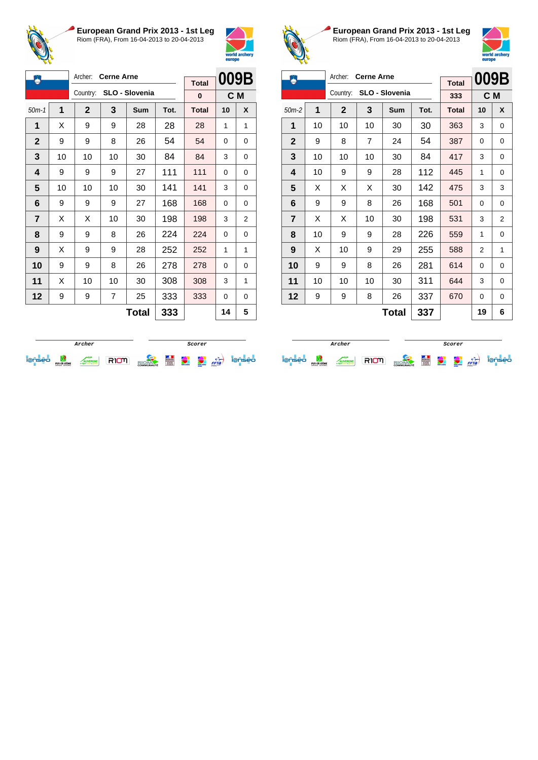



| 5                       |    | Archer:      | <b>Cerne Arne</b> |                |      | <b>Total</b> | 009B     |   |
|-------------------------|----|--------------|-------------------|----------------|------|--------------|----------|---|
|                         |    | Country:     |                   | SLO - Slovenia |      | 0            | C M      |   |
| $50m-1$                 | 1  | $\mathbf{2}$ | 3                 | Sum            | Tot. | <b>Total</b> | 10       | X |
| 1                       | X  | 9            | 9                 | 28             | 28   | 28           | 1        | 1 |
| $\mathbf{2}$            | 9  | 9            | 8                 | 26             | 54   | 54           | $\Omega$ | 0 |
| 3                       | 10 | 10           | 10                | 30             | 84   | 84           | 3        | 0 |
| $\overline{\mathbf{4}}$ | 9  | 9            | 9                 | 27             | 111  | 111          | $\Omega$ | 0 |
| 5                       | 10 | 10           | 10                | 30             | 141  | 141          | 3        | 0 |
| 6                       | 9  | 9            | 9                 | 27             | 168  | 168          | 0        | 0 |
| 7                       | X  | X            | 10                | 30             | 198  | 198          | 3        | 2 |
| 8                       | 9  | 9            | 8                 | 26             | 224  | 224          | $\Omega$ | 0 |
| 9                       | х  | 9            | 9                 | 28             | 252  | 252          | 1        | 1 |
| 10                      | 9  | 9            | 8                 | 26             | 278  | 278          | 0        | 0 |
| 11                      | X  | 10           | 10                | 30             | 308  | 308          | 3        | 1 |
| 12                      | 9  | 9            | 7                 | 25             | 333  | 333          | 0        | 0 |
|                         |    |              |                   | <b>Total</b>   | 333  |              | 14       | 5 |



**European Grand Prix 2013 - 1st Leg** Riom (FRA), From 16-04-2013 to 20-04-2013



| Ж              |                     | Archer:      | <b>Cerne Arne</b> |                |      |              | 009B |          |
|----------------|---------------------|--------------|-------------------|----------------|------|--------------|------|----------|
|                |                     |              |                   |                |      | <b>Total</b> |      |          |
|                |                     | Country:     |                   | SLO - Slovenia |      | 333          |      | C M      |
| $50m-2$        | 1                   | $\mathbf{2}$ | 3                 | <b>Sum</b>     | Tot. | <b>Total</b> | 10   | X        |
| 1              | 10                  | 10           | 10                | 30             | 30   | 363          | 3    | $\Omega$ |
| $\mathbf{2}$   | 9                   | 8            | 7                 | 24             | 54   | 387          | 0    | 0        |
| 3              | 10                  | 10           | 10                | 30             | 84   | 417          | 3    | $\Omega$ |
| 4              | 10                  | 9            | 9                 | 28             | 112  | 445          | 1    | $\Omega$ |
| 5              | X                   | X            | X                 | 30             | 142  | 475          | 3    | 3        |
| 6              | 9                   | 9            | 8                 | 26             | 168  | 501          | 0    | 0        |
| $\overline{7}$ | X                   | X            | 10                | 30             | 198  | 531          | 3    | 2        |
| 8              | 10                  | 9            | 9                 | 28             | 226  | 559          | 1    | 0        |
| 9              | X                   | 10           | 9                 | 29             | 255  | 588          | 2    | 1        |
| 10             | 9                   | 9            | 8                 | 26             | 281  | 614          | 0    | $\Omega$ |
| 11             | 10                  | 10           | 10                | 30             | 311  | 644          | 3    | 0        |
| 12             | 9                   | 9            | 8                 | 26             | 337  | 670          | 0    | 0        |
|                | <b>Total</b><br>337 |              |                   |                |      |              | 19   | 6        |



**Archer Scorer**i@nsea W ANCESSE RIOTI RIOMA E C C <sub>Fra</sub>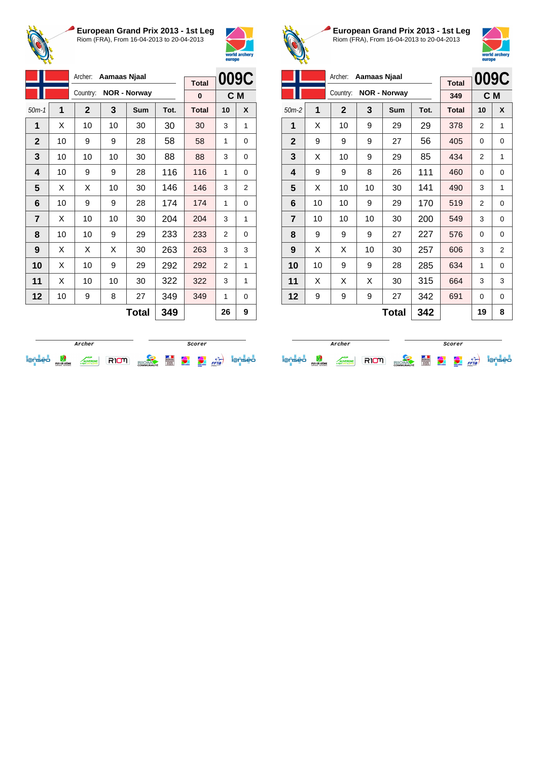



|                |    | Archer:      | Aamaas Njaal |                     |      | <b>Total</b> | 009C           |   |
|----------------|----|--------------|--------------|---------------------|------|--------------|----------------|---|
|                |    | Country:     |              | <b>NOR - Norway</b> |      | $\bf{0}$     | C <sub>M</sub> |   |
| $50m-1$        | 1  | $\mathbf{2}$ | 3            | Sum                 | Tot. | <b>Total</b> | 10             | X |
| 1              | X  | 10           | 10           | 30                  | 30   | 30           | 3              | 1 |
| $\mathbf{2}$   | 10 | 9            | 9            | 28                  | 58   | 58           | 1              | 0 |
| 3              | 10 | 10           | 10           | 30                  | 88   | 88           | 3              | 0 |
| 4              | 10 | 9            | 9            | 28                  | 116  | 116          | 1              | 0 |
| 5              | X  | X            | 10           | 30                  | 146  | 146          | 3              | 2 |
| 6              | 10 | 9            | 9            | 28                  | 174  | 174          | 1              | 0 |
| $\overline{7}$ | X  | 10           | 10           | 30                  | 204  | 204          | 3              | 1 |
| 8              | 10 | 10           | 9            | 29                  | 233  | 233          | $\overline{2}$ | 0 |
| 9              | X  | X            | X            | 30                  | 263  | 263          | 3              | 3 |
| 10             | X  | 10           | 9            | 29                  | 292  | 292          | $\overline{2}$ | 1 |
| 11             | X  | 10           | 10           | 30                  | 322  | 322          | 3              | 1 |
| 12             | 10 | 9            | 8            | 27                  | 349  | 349          | 1              | 0 |
|                |    |              |              | Total               | 349  |              | 26             | 9 |



**European Grand Prix 2013 - 1st Leg** Riom (FRA), From 16-04-2013 to 20-04-2013



|                |    | Archer:      | Aamaas Njaal |                     |      |              |          | 009C           |
|----------------|----|--------------|--------------|---------------------|------|--------------|----------|----------------|
|                |    |              |              |                     |      | <b>Total</b> |          |                |
|                |    | Country:     |              | <b>NOR - Norway</b> |      | 349          |          | C <sub>M</sub> |
| $50m-2$        | 1  | $\mathbf{2}$ | 3            | Sum                 | Tot. | <b>Total</b> | 10       | X              |
| 1              | X  | 10           | 9            | 29                  | 29   | 378          | 2        | 1              |
| $\mathbf{2}$   | 9  | 9            | 9            | 27                  | 56   | 405          | 0        | 0              |
| 3              | X  | 10           | 9            | 29                  | 85   | 434          | 2        | 1              |
| 4              | 9  | 9            | 8            | 26                  | 111  | 460          | $\Omega$ | $\Omega$       |
| 5              | X  | 10           | 10           | 30                  | 141  | 490          | 3        | 1              |
| 6              | 10 | 10           | 9            | 29                  | 170  | 519          | 2        | 0              |
| $\overline{7}$ | 10 | 10           | 10           | 30                  | 200  | 549          | 3        | 0              |
| 8              | 9  | 9            | 9            | 27                  | 227  | 576          | 0        | 0              |
| 9              | X  | X            | 10           | 30                  | 257  | 606          | 3        | 2              |
| 10             | 10 | 9            | 9            | 28                  | 285  | 634          | 1        | $\Omega$       |
| 11             | X  | X            | X            | 30                  | 315  | 664          | 3        | 3              |
| 12             | 9  | 9            | 9            | 27                  | 342  | 691          | 0        | $\Omega$       |
|                |    |              |              | Total               | 342  |              | 19       | 8              |

|   |                                |                                 |  | Scorer            |   |               |                                    |      |     |
|---|--------------------------------|---------------------------------|--|-------------------|---|---------------|------------------------------------|------|-----|
| - | PUY-DE-DÔME<br>CONSEIL GENERAL | <b>/ERGNE</b><br>mite as provid |  | <b>COMMUNAUTÉ</b> | Ë | world archief | <b>CONTRACTOR</b><br><b>Horses</b> | FFTa | seo |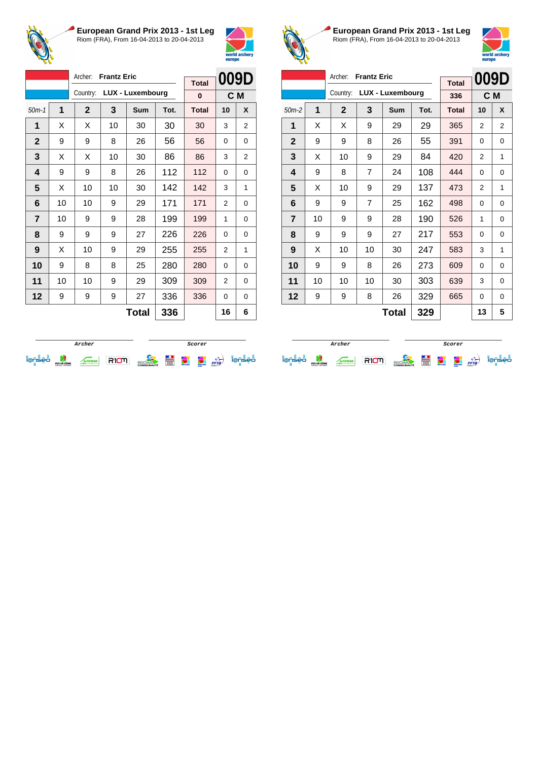



|                |    | Archer:      | <b>Frantz Eric</b> |                         |      |              | 009D           |   |
|----------------|----|--------------|--------------------|-------------------------|------|--------------|----------------|---|
|                |    |              |                    |                         |      | <b>Total</b> |                |   |
|                |    | Country:     |                    | <b>LUX - Luxembourg</b> |      | 0            | C M            |   |
| $50m-1$        | 1  | $\mathbf{2}$ | 3                  | Sum                     | Tot. | <b>Total</b> | 10             | X |
| 1              | X  | X            | 10                 | 30                      | 30   | 30           | 3              | 2 |
| $\mathbf 2$    | 9  | 9            | 8                  | 26                      | 56   | 56           | $\Omega$       | 0 |
| 3              | X  | X            | 10                 | 30                      | 86   | 86           | 3              | 2 |
| 4              | 9  | 9            | 8                  | 26                      | 112  | 112          | $\Omega$       | 0 |
| 5              | X  | 10           | 10                 | 30                      | 142  | 142          | 3              | 1 |
| 6              | 10 | 10           | 9                  | 29                      | 171  | 171          | $\overline{2}$ | 0 |
| $\overline{7}$ | 10 | 9            | 9                  | 28                      | 199  | 199          | 1              | 0 |
| 8              | 9  | 9            | 9                  | 27                      | 226  | 226          | 0              | 0 |
| 9              | X  | 10           | 9                  | 29                      | 255  | 255          | 2              | 1 |
| 10             | 9  | 8            | 8                  | 25                      | 280  | 280          | 0              | 0 |
| 11             | 10 | 10           | 9                  | 29                      | 309  | 309          | $\overline{2}$ | 0 |
| 12             | 9  | 9            | 9                  | 27                      | 336  | 336          | 0              | 0 |
|                |    |              |                    | <b>Total</b>            | 336  |              | 16             | 6 |



**European Grand Prix 2013 - 1st Leg** Riom (FRA), From 16-04-2013 to 20-04-2013



|                |       | Archer:<br><b>Frantz Eric</b> |                |                  | 009D |              |    |                |
|----------------|-------|-------------------------------|----------------|------------------|------|--------------|----|----------------|
|                |       |                               |                |                  |      | <b>Total</b> |    |                |
|                |       | Country:                      |                | LUX - Luxembourg |      | 336          |    | C M            |
| $50m-2$        | 1     | $\mathbf{2}$                  | 3              | Sum              | Tot. | <b>Total</b> | 10 | X              |
| 1              | X     | X                             | 9              | 29               | 29   | 365          | 2  | $\overline{2}$ |
| $\mathbf{2}$   | 9     | 9                             | 8              | 26               | 55   | 391          | 0  | 0              |
| 3              | X     | 10                            | 9              | 29               | 84   | 420          | 2  | 1              |
| 4              | 9     | 8                             | $\overline{7}$ | 24               | 108  | 444          | 0  | $\Omega$       |
| 5              | X     | 10                            | 9              | 29               | 137  | 473          | 2  | 1              |
| 6              | 9     | 9                             | 7              | 25               | 162  | 498          | 0  | 0              |
| $\overline{7}$ | 10    | 9                             | 9              | 28               | 190  | 526          | 1  | $\Omega$       |
| 8              | 9     | 9                             | 9              | 27               | 217  | 553          | 0  | 0              |
| 9              | X     | 10                            | 10             | 30               | 247  | 583          | 3  | 1              |
| 10             | 9     | 9                             | 8              | 26               | 273  | 609          | 0  | $\Omega$       |
| 11             | 10    | 10                            | 10             | 30               | 303  | 639          | 3  | 0              |
| 12             | 9     | 9                             | 8              | 26               | 329  | 665          | 0  | 0              |
|                | Total |                               |                |                  |      |              | 13 | 5              |

|                          |                                |             |  | <i>Scorer</i>     |                      |                    |                               |      |  |
|--------------------------|--------------------------------|-------------|--|-------------------|----------------------|--------------------|-------------------------------|------|--|
| $\overline{\phantom{a}}$ | PUY-DE-DÔME<br>CONSEIL GENERAL | <b>RGNE</b> |  | <b>COMMUNAUTÉ</b> | <b>ANTIQUES</b><br>E | <b>Wind and an</b> | مجاده الالحد<br><b>Horses</b> | FFTa |  |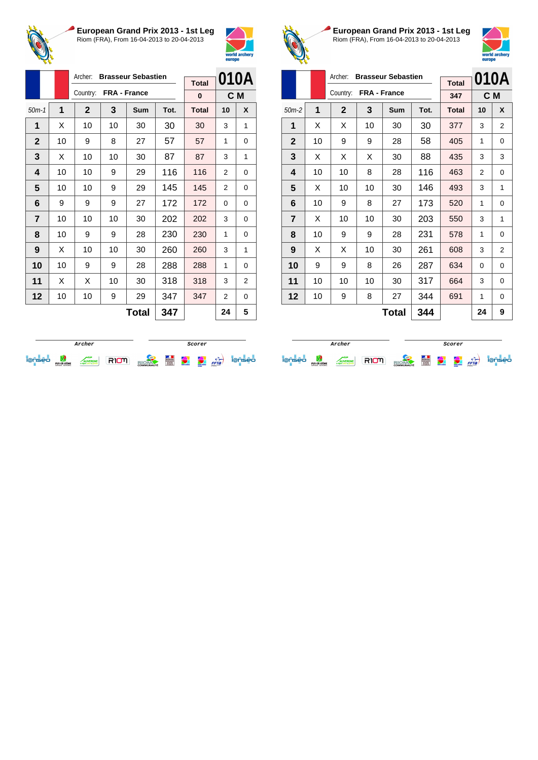



|                |    | Archer:      |    | <b>Brasseur Sebastien</b> |      |              |                | 010A |
|----------------|----|--------------|----|---------------------------|------|--------------|----------------|------|
|                |    |              |    |                           |      | <b>Total</b> |                |      |
|                |    | Country:     |    | FRA - France              |      | 0            |                | C M  |
| $50m-1$        | 1  | $\mathbf{2}$ | 3  | Sum                       | Tot. | <b>Total</b> | 10             | X    |
| 1              | X  | 10           | 10 | 30                        | 30   | 30           | 3              | 1    |
| $\mathbf 2$    | 10 | 9            | 8  | 27                        | 57   | 57           | 1              | 0    |
| 3              | X  | 10           | 10 | 30                        | 87   | 87           | 3              | 1    |
| 4              | 10 | 10           | 9  | 29                        | 116  | 116          | 2              | 0    |
| 5              | 10 | 10           | 9  | 29                        | 145  | 145          | $\overline{2}$ | 0    |
| 6              | 9  | 9            | 9  | 27                        | 172  | 172          | 0              | 0    |
| $\overline{7}$ | 10 | 10           | 10 | 30                        | 202  | 202          | 3              | 0    |
| 8              | 10 | 9            | 9  | 28                        | 230  | 230          | 1              | 0    |
| 9              | X  | 10           | 10 | 30                        | 260  | 260          | 3              | 1    |
| 10             | 10 | 9            | 9  | 28                        | 288  | 288          | 1              | 0    |
| 11             | X  | X            | 10 | 30                        | 318  | 318          | 3              | 2    |
| 12             | 10 | 10           | 9  | 29                        | 347  | 347          | 2              | 0    |
|                |    |              |    | <b>Total</b>              | 347  |              | 24             | 5    |



**European Grand Prix 2013 - 1st Leg** Riom (FRA), From 16-04-2013 to 20-04-2013



|                |    | Archer:<br><b>Brasseur Sebastien</b> |              |              | 010A |              |    |                |
|----------------|----|--------------------------------------|--------------|--------------|------|--------------|----|----------------|
|                |    |                                      |              |              |      | <b>Total</b> |    |                |
|                |    | Country:                             | FRA - France |              |      | 347          |    | C M            |
| $50m-2$        | 1  | $\mathbf 2$                          | 3            | <b>Sum</b>   | Tot. | <b>Total</b> | 10 | X              |
| 1              | X  | X                                    | 10           | 30           | 30   | 377          | 3  | $\overline{2}$ |
| $\mathbf{2}$   | 10 | 9                                    | 9            | 28           | 58   | 405          | 1  | 0              |
| 3              | X  | X                                    | X            | 30           | 88   | 435          | 3  | 3              |
| 4              | 10 | 10                                   | 8            | 28           | 116  | 463          | 2  | 0              |
| 5              | X  | 10                                   | 10           | 30           | 146  | 493          | 3  | 1              |
| 6              | 10 | 9                                    | 8            | 27           | 173  | 520          | 1  | 0              |
| $\overline{7}$ | X  | 10                                   | 10           | 30           | 203  | 550          | 3  | 1              |
| 8              | 10 | 9                                    | 9            | 28           | 231  | 578          | 1  | 0              |
| 9              | X  | X                                    | 10           | 30           | 261  | 608          | 3  | 2              |
| 10             | 9  | 9                                    | 8            | 26           | 287  | 634          | 0  | 0              |
| 11             | 10 | 10                                   | 10           | 30           | 317  | 664          | 3  | 0              |
| 12             | 10 | 9                                    | 8            | 27           | 344  | 691          | 1  | 0              |
|                |    |                                      |              | <b>Total</b> | 344  |              | 24 | 9              |

|                          |                                |             |  | Scorer            |   |                |                                              |                |     |
|--------------------------|--------------------------------|-------------|--|-------------------|---|----------------|----------------------------------------------|----------------|-----|
| $\overline{\phantom{a}}$ | PUY-DE-DÔME<br>CONSEIL GENERAL | <b>AGNI</b> |  | <b>COMMUNAUTÉ</b> | Ë | <b>COMMAND</b> | <b><i><u>Change</u></i></b><br><b>Horses</b> | $\overline{f}$ | seo |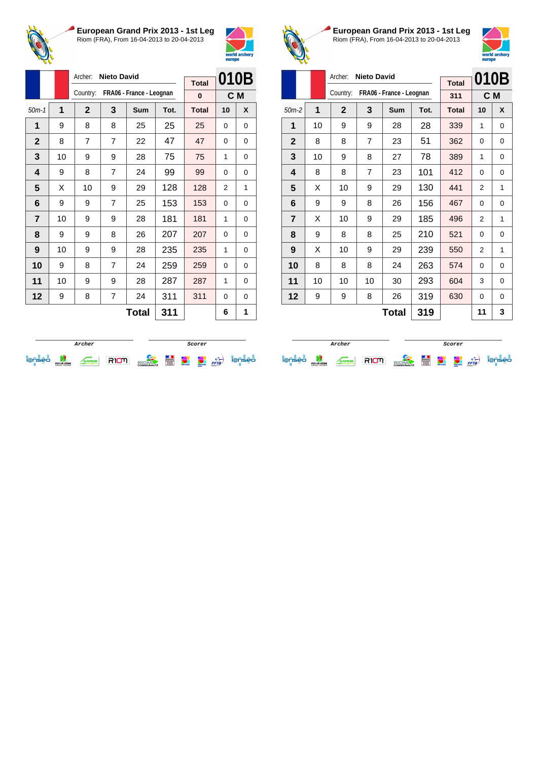



|                |    | Archer:        | <b>Nieto David</b> |                          |      |              | 010B           |   |
|----------------|----|----------------|--------------------|--------------------------|------|--------------|----------------|---|
|                |    | Country:       |                    | FRA06 - France - Leognan |      | <b>Total</b> |                |   |
|                |    |                |                    |                          |      | 0            | C <sub>M</sub> |   |
| $50m-1$        | 1  | $\mathbf{2}$   | 3                  | <b>Sum</b>               | Tot. | <b>Total</b> | 10             | X |
| 1              | 9  | 8              | 8                  | 25                       | 25   | 25           | $\Omega$       | 0 |
| $\mathbf{2}$   | 8  | $\overline{7}$ | $\overline{7}$     | 22                       | 47   | 47           | $\Omega$       | 0 |
| 3              | 10 | 9              | 9                  | 28                       | 75   | 75           | 1              | 0 |
| 4              | 9  | 8              | $\overline{7}$     | 24                       | 99   | 99           | $\Omega$       | 0 |
| 5              | X  | 10             | 9                  | 29                       | 128  | 128          | $\overline{2}$ | 1 |
| 6              | 9  | 9              | $\overline{7}$     | 25                       | 153  | 153          | 0              | 0 |
| $\overline{7}$ | 10 | 9              | 9                  | 28                       | 181  | 181          | 1              | 0 |
| 8              | 9  | 9              | 8                  | 26                       | 207  | 207          | $\Omega$       | 0 |
| 9              | 10 | 9              | 9                  | 28                       | 235  | 235          | 1              | 0 |
| 10             | 9  | 8              | $\overline{7}$     | 24                       | 259  | 259          | 0              | 0 |
| 11             | 10 | 9              | 9                  | 28                       | 287  | 287          | 1              | 0 |
| 12             | 9  | 8              | 7                  | 24                       | 311  | 311          | $\Omega$       | 0 |
|                |    |                |                    | <b>Total</b>             | 311  |              | 6              | 1 |



**European Grand Prix 2013 - 1st Leg** Riom (FRA), From 16-04-2013 to 20-04-2013



|                |              | Archer:<br><b>Nieto David</b> |    | 010B                     |      |              |    |          |
|----------------|--------------|-------------------------------|----|--------------------------|------|--------------|----|----------|
|                |              |                               |    |                          |      | <b>Total</b> |    |          |
|                |              | Country:                      |    | FRA06 - France - Leognan |      | 311          |    | C M      |
| $50m-2$        | $\mathbf{1}$ | $\mathbf{2}$                  | 3  | Sum                      | Tot. | <b>Total</b> | 10 | X        |
| 1              | 10           | 9                             | 9  | 28                       | 28   | 339          | 1  | $\Omega$ |
| $\mathbf{2}$   | 8            | 8                             | 7  | 23                       | 51   | 362          | 0  | 0        |
| 3              | 10           | 9                             | 8  | 27                       | 78   | 389          | 1  | 0        |
| 4              | 8            | 8                             | 7  | 23                       | 101  | 412          | 0  | 0        |
| 5              | X            | 10                            | 9  | 29                       | 130  | 441          | 2  | 1        |
| 6              | 9            | 9                             | 8  | 26                       | 156  | 467          | 0  | 0        |
| $\overline{7}$ | X            | 10                            | 9  | 29                       | 185  | 496          | 2  | 1        |
| 8              | 9            | 8                             | 8  | 25                       | 210  | 521          | 0  | 0        |
| 9              | X            | 10                            | 9  | 29                       | 239  | 550          | 2  | 1        |
| 10             | 8            | 8                             | 8  | 24                       | 263  | 574          | 0  | 0        |
| 11             | 10           | 10                            | 10 | 30                       | 293  | 604          | 3  | 0        |
| 12             | 9            | 9                             | 8  | 26                       | 319  | 630          | 0  | $\Omega$ |
|                |              |                               |    | Total                    | 319  |              | 11 | 3        |

|                          |                                |             |  | Scorer            |   |                                 |                                               |      |     |
|--------------------------|--------------------------------|-------------|--|-------------------|---|---------------------------------|-----------------------------------------------|------|-----|
| $\overline{\phantom{a}}$ | PUY-DE-DÔME<br>CONSEIL GENERAL | <b>RGNE</b> |  | <b>COMMUNAUTÉ</b> | Ě | <b><i><u>antifactor</u></i></b> | <b><i><u>CONTACT</u></i></b><br><b>Horses</b> | FFTa | seo |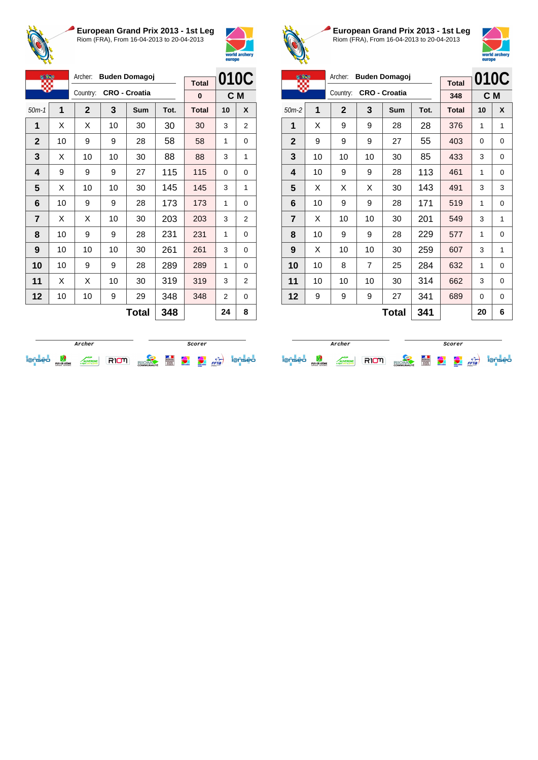



| <b>CERS</b>    |    | Archer:<br><b>Buden Domagoj</b> |    |                      |      | <b>Total</b> | 010C           |   |
|----------------|----|---------------------------------|----|----------------------|------|--------------|----------------|---|
|                |    | Country:                        |    | <b>CRO - Croatia</b> |      | 0            | C <sub>M</sub> |   |
| $50m-1$        | 1  | $\mathbf 2$                     | 3  | Sum                  | Tot. | <b>Total</b> | 10             | X |
| 1              | X  | X                               | 10 | 30                   | 30   | 30           | 3              | 2 |
| $\mathbf 2$    | 10 | 9                               | 9  | 28                   | 58   | 58           | 1              | 0 |
| 3              | х  | 10                              | 10 | 30                   | 88   | 88           | 3              | 1 |
| 4              | 9  | 9                               | 9  | 27                   | 115  | 115          | $\Omega$       | 0 |
| 5              | X  | 10                              | 10 | 30                   | 145  | 145          | 3              | 1 |
| 6              | 10 | 9                               | 9  | 28                   | 173  | 173          | 1              | 0 |
| $\overline{7}$ | X  | X                               | 10 | 30                   | 203  | 203          | 3              | 2 |
| 8              | 10 | 9                               | 9  | 28                   | 231  | 231          | 1              | 0 |
| 9              | 10 | 10                              | 10 | 30                   | 261  | 261          | 3              | 0 |
| 10             | 10 | 9                               | 9  | 28                   | 289  | 289          | 1              | 0 |
| 11             | X  | X                               | 10 | 30                   | 319  | 319          | 3              | 2 |
| 12             | 10 | 10                              | 9  | 29                   | 348  | 348          | 2              | 0 |
|                |    |                                 |    | <b>Total</b>         | 348  |              | 24             | 8 |



**European Grand Prix 2013 - 1st Leg** Riom (FRA), From 16-04-2013 to 20-04-2013



| Archer:<br><b>Buden Domagoj</b> |              |              |    |                      |      |              | 010C |   |
|---------------------------------|--------------|--------------|----|----------------------|------|--------------|------|---|
|                                 |              |              |    |                      |      | <b>Total</b> |      |   |
|                                 |              | Country:     |    | <b>CRO - Croatia</b> |      | 348          | C M  |   |
| $50m-2$                         | 1            | $\mathbf{2}$ | 3  | Sum                  | Tot. | <b>Total</b> | 10   | X |
| 1                               | X            | 9            | 9  | 28                   | 28   | 376          | 1    | 1 |
| $\mathbf{2}$                    | 9            | 9            | 9  | 27                   | 55   | 403          | 0    | 0 |
| 3                               | 10           | 10           | 10 | 30                   | 85   | 433          | 3    | 0 |
| 4                               | 10           | 9            | 9  | 28                   | 113  | 461          | 1    | 0 |
| 5                               | X            | X            | X  | 30                   | 143  | 491          | 3    | 3 |
| 6                               | 10           | 9            | 9  | 28                   | 171  | 519          | 1    | 0 |
| $\overline{7}$                  | X            | 10           | 10 | 30                   | 201  | 549          | 3    | 1 |
| 8                               | 10           | 9            | 9  | 28                   | 229  | 577          | 1    | 0 |
| 9                               | X            | 10           | 10 | 30                   | 259  | 607          | 3    | 1 |
| 10                              | 10           | 8            | 7  | 25                   | 284  | 632          | 1    | 0 |
| 11                              | 10           | 10           | 10 | 30                   | 314  | 662          | 3    | 0 |
| 12                              | 9            | 9            | 9  | 27                   | 341  | 689          | 0    | 0 |
|                                 | 341<br>Total |              |    |                      |      |              | 20   | 6 |

|                          |                                |               |  | Scorer            |   |                |                                    |                   |    |
|--------------------------|--------------------------------|---------------|--|-------------------|---|----------------|------------------------------------|-------------------|----|
| $\overline{\phantom{a}}$ | PUY-DE-DÔME<br>CONSEIL GENERAL | <b>NERGNE</b> |  | <b>COMMUNAUTÉ</b> | Ē | <b>COMMAND</b> | <b>CONTRACTOR</b><br><b>Horses</b> | $F = \frac{1}{2}$ | eo |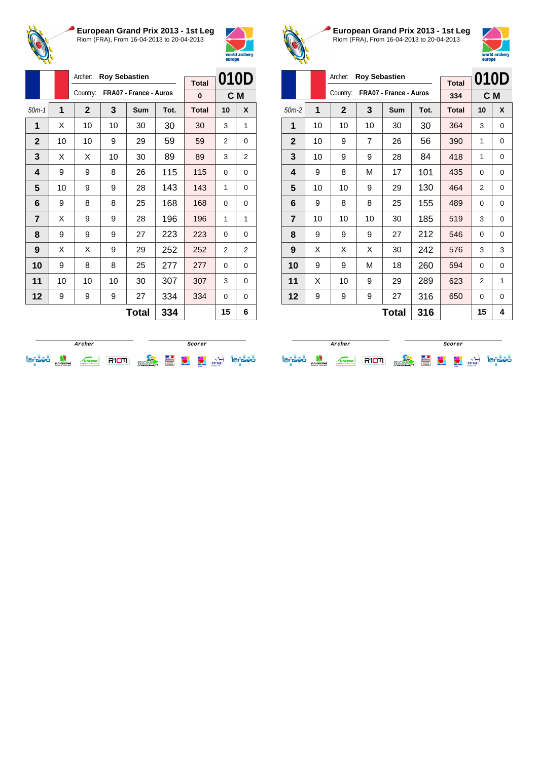



|                |    | Archer:      | <b>Roy Sebastien</b> |                        |      | <b>Total</b> | 010D     |   |
|----------------|----|--------------|----------------------|------------------------|------|--------------|----------|---|
|                |    | Country:     |                      | FRA07 - France - Auros |      | 0            | C M      |   |
| $50m-1$        | 1  | $\mathbf{2}$ | 3                    | Sum                    | Tot. | <b>Total</b> | 10       | X |
| 1              | X  | 10           | 10                   | 30                     | 30   | 30           | 3        | 1 |
| $\mathbf{2}$   | 10 | 10           | 9                    | 29                     | 59   | 59           | 2        | 0 |
| 3              | X  | X            | 10                   | 30                     | 89   | 89           | 3        | 2 |
| 4              | 9  | 9            | 8                    | 26                     | 115  | 115          | 0        | 0 |
| 5              | 10 | 9            | 9                    | 28                     | 143  | 143          | 1        | 0 |
| 6              | 9  | 8            | 8                    | 25                     | 168  | 168          | $\Omega$ | 0 |
| $\overline{7}$ | X  | 9            | 9                    | 28                     | 196  | 196          | 1        | 1 |
| 8              | 9  | 9            | 9                    | 27                     | 223  | 223          | $\Omega$ | 0 |
| 9              | X  | X            | 9                    | 29                     | 252  | 252          | 2        | 2 |
| 10             | 9  | 8            | 8                    | 25                     | 277  | 277          | 0        | 0 |
| 11             | 10 | 10           | 10                   | 30                     | 307  | 307          | 3        | 0 |
| 12             | 9  | 9            | 9                    | 27                     | 334  | 334          | 0        | 0 |
|                |    |              |                      | $T_{\alpha}$ ial       | つつん  |              | 4 E      | c |

**Total 334 15 6**



**European Grand Prix 2013 - 1st Leg** Riom (FRA), From 16-04-2013 to 20-04-2013



|                |    | Archer:        | <b>Roy Sebastien</b> |                        |      |              | 010D |          |
|----------------|----|----------------|----------------------|------------------------|------|--------------|------|----------|
|                |    |                |                      |                        |      | <b>Total</b> |      |          |
|                |    | Country:       |                      | FRA07 - France - Auros |      | 334          | C M  |          |
| $50m-2$        | 1  | $\overline{2}$ | 3                    | <b>Sum</b>             | Tot. | <b>Total</b> | 10   | X        |
| 1              | 10 | 10             | 10                   | 30                     | 30   | 364          | 3    | $\Omega$ |
| $\mathbf 2$    | 10 | 9              | 7                    | 26                     | 56   | 390          | 1    | 0        |
| 3              | 10 | 9              | 9                    | 28                     | 84   | 418          | 1    | 0        |
| 4              | 9  | 8              | М                    | 17                     | 101  | 435          | 0    | $\Omega$ |
| 5              | 10 | 10             | 9                    | 29                     | 130  | 464          | 2    | 0        |
| 6              | 9  | 8              | 8                    | 25                     | 155  | 489          | 0    | $\Omega$ |
| $\overline{7}$ | 10 | 10             | 10                   | 30                     | 185  | 519          | 3    | $\Omega$ |
| 8              | 9  | 9              | 9                    | 27                     | 212  | 546          | 0    | 0        |
| 9              | X  | X              | X                    | 30                     | 242  | 576          | 3    | 3        |
| 10             | 9  | 9              | М                    | 18                     | 260  | 594          | 0    | $\Omega$ |
| 11             | X  | 10             | 9                    | 29                     | 289  | 623          | 2    | 1        |
| 12             | 9  | 9              | 9                    | 27                     | 316  | 650          | 0    | 0        |
|                |    |                |                      | <b>Total</b>           | 316  |              | 15   | 4        |

|  |                                 |  |  | Scorer            |   |             |                                                           |      |     |
|--|---------------------------------|--|--|-------------------|---|-------------|-----------------------------------------------------------|------|-----|
|  | PLIY-DE-DOME<br>CONSEIL GENERAL |  |  | <b>COMMUNAUTÉ</b> | Ë | weld anders | <b><i><u><u>India</u></u></i></b> and we<br><b>Harted</b> | FFTa | con |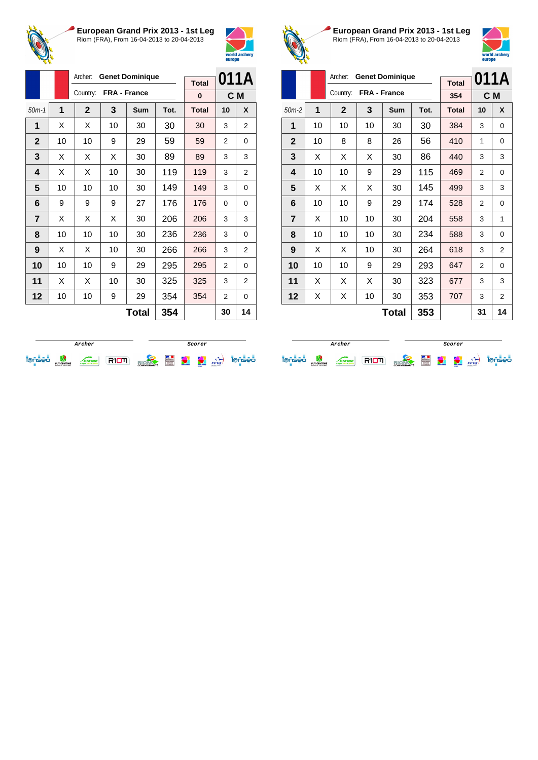



|                |    | Archer:      |    | <b>Genet Dominique</b> |      | <b>Total</b> |                | 011A           |
|----------------|----|--------------|----|------------------------|------|--------------|----------------|----------------|
|                |    | Country:     |    | FRA - France           |      | $\bf{0}$     |                | C M            |
| $50m-1$        | 1  | $\mathbf{2}$ | 3  | Sum                    | Tot. | <b>Total</b> | 10             | X              |
| 1              | X  | X            | 10 | 30                     | 30   | 30           | 3              | $\overline{2}$ |
| $\mathbf{2}$   | 10 | 10           | 9  | 29                     | 59   | 59           | $\overline{2}$ | 0              |
| 3              | X  | X            | X  | 30                     | 89   | 89           | 3              | 3              |
| 4              | X  | X            | 10 | 30                     | 119  | 119          | 3              | $\overline{2}$ |
| 5              | 10 | 10           | 10 | 30                     | 149  | 149          | 3              | 0              |
| 6              | 9  | 9            | 9  | 27                     | 176  | 176          | 0              | 0              |
| $\overline{7}$ | X  | X            | X  | 30                     | 206  | 206          | 3              | 3              |
| 8              | 10 | 10           | 10 | 30                     | 236  | 236          | 3              | 0              |
| 9              | X  | X            | 10 | 30                     | 266  | 266          | 3              | 2              |
| 10             | 10 | 10           | 9  | 29                     | 295  | 295          | $\overline{2}$ | 0              |
| 11             | X  | X            | 10 | 30                     | 325  | 325          | 3              | 2              |
| 12             | 10 | 10           | 9  | 29                     | 354  | 354          | $\overline{2}$ | 0              |
|                |    |              |    | <b>Total</b>           | 354  |              | 30             | 14             |



**European Grand Prix 2013 - 1st Leg** Riom (FRA), From 16-04-2013 to 20-04-2013



|                |              | Archer:      | <b>Genet Dominique</b> |     |      | 011A         |                |          |
|----------------|--------------|--------------|------------------------|-----|------|--------------|----------------|----------|
|                |              | Country:     | FRA - France           |     |      | <b>Total</b> |                |          |
|                |              |              |                        |     |      | 354          |                | C M      |
| $50m-2$        | 1            | $\mathbf{2}$ | 3                      | Sum | Tot. | <b>Total</b> | 10             | X        |
| 1              | 10           | 10           | 10                     | 30  | 30   | 384          | 3              | 0        |
| $\mathbf{2}$   | 10           | 8            | 8                      | 26  | 56   | 410          | 1              | 0        |
| 3              | X            | X            | X                      | 30  | 86   | 440          | 3              | 3        |
| 4              | 10           | 10           | 9                      | 29  | 115  | 469          | 2              | 0        |
| 5              | X            | X            | X                      | 30  | 145  | 499          | 3              | 3        |
| 6              | 10           | 10           | 9                      | 29  | 174  | 528          | 2              | 0        |
| $\overline{7}$ | X            | 10           | 10                     | 30  | 204  | 558          | 3              | 1        |
| 8              | 10           | 10           | 10                     | 30  | 234  | 588          | 3              | $\Omega$ |
| 9              | X            | X            | 10                     | 30  | 264  | 618          | 3              | 2        |
| 10             | 10           | 10           | 9                      | 29  | 293  | 647          | $\overline{2}$ | $\Omega$ |
| 11             | X            | X            | X                      | 30  | 323  | 677          | 3              | 3        |
| 12             | X            | х            | 10                     | 30  | 353  | 707          | 3              | 2        |
|                | 353<br>Total |              |                        |     |      |              | 31             | 14       |

|             |                                |               |  | Scorer            |   |               |                                   |      |     |
|-------------|--------------------------------|---------------|--|-------------------|---|---------------|-----------------------------------|------|-----|
| $\sim$<br>- | PUY-DE-DÔME<br>CONSEIL GENERAL | <b>VERGNE</b> |  | <b>COMMUNAUTÉ</b> | Ë | world archive | <b>CONTRACTOR</b><br><b>STATE</b> | FFTa | seo |

**Archer Scorer Scorer** iense de la conservación de la conservación de la conservación de la conservación de la conservación de la conservación de la conservación de la conservación de la conservación de la conservación de la conservación de la c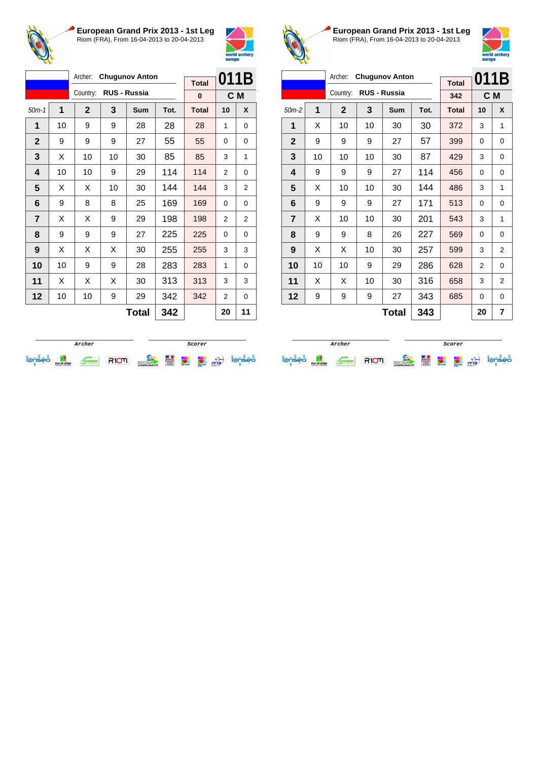



|                |    | Archer:      |    | <b>Chugunov Anton</b> |      | <b>Total</b> | 011B     |     |
|----------------|----|--------------|----|-----------------------|------|--------------|----------|-----|
|                |    | Country:     |    | <b>RUS - Russia</b>   |      | 0            |          | C M |
| $50m-1$        | 1  | $\mathbf{2}$ | 3  | Sum                   | Tot. | <b>Total</b> | 10       | X   |
| 1              | 10 | 9            | 9  | 28                    | 28   | 28           | 1        | 0   |
| $\mathbf{2}$   | 9  | 9            | 9  | 27                    | 55   | 55           | $\Omega$ | 0   |
| 3              | X  | 10           | 10 | 30                    | 85   | 85           | 3        | 1   |
| 4              | 10 | 10           | 9  | 29                    | 114  | 114          | 2        | 0   |
| 5              | X  | X            | 10 | 30                    | 144  | 144          | 3        | 2   |
| 6              | 9  | 8            | 8  | 25                    | 169  | 169          | $\Omega$ | 0   |
| $\overline{7}$ | X  | X            | 9  | 29                    | 198  | 198          | 2        | 2   |
| 8              | 9  | 9            | 9  | 27                    | 225  | 225          | 0        | 0   |
| 9              | X  | X            | X  | 30                    | 255  | 255          | 3        | 3   |
| 10             | 10 | 9            | 9  | 28                    | 283  | 283          | 1        | 0   |
| 11             | X  | X            | X  | 30                    | 313  | 313          | 3        | 3   |
| 12             | 10 | 10           | 9  | 29                    | 342  | 342          | 2        | 0   |
|                |    |              |    | <b>Total</b>          | 342  |              | 20       | 11  |



**European Grand Prix 2013 - 1st Leg** Riom (FRA), From 16-04-2013 to 20-04-2013



| Archer:<br><b>Chugunov Anton</b> |                     |              |    |              |      |              | 011B |                |
|----------------------------------|---------------------|--------------|----|--------------|------|--------------|------|----------------|
|                                  |                     |              |    |              |      | <b>Total</b> |      |                |
|                                  |                     | Country:     |    | RUS - Russia |      | 342          |      | C M            |
| $50m-2$                          | 1                   | $\mathbf{2}$ | 3  | Sum          | Tot. | <b>Total</b> | 10   | X              |
| 1                                | X                   | 10           | 10 | 30           | 30   | 372          | 3    | 1              |
| $\mathbf{2}$                     | 9                   | 9            | 9  | 27           | 57   | 399          | 0    | 0              |
| 3                                | 10                  | 10           | 10 | 30           | 87   | 429          | 3    | 0              |
| 4                                | 9                   | 9            | 9  | 27           | 114  | 456          | 0    | $\Omega$       |
| 5                                | X                   | 10           | 10 | 30           | 144  | 486          | 3    | 1              |
| 6                                | 9                   | 9            | 9  | 27           | 171  | 513          | 0    | 0              |
| $\overline{7}$                   | X                   | 10           | 10 | 30           | 201  | 543          | 3    | 1              |
| 8                                | 9                   | 9            | 8  | 26           | 227  | 569          | 0    | 0              |
| 9                                | X                   | X            | 10 | 30           | 257  | 599          | 3    | 2              |
| 10                               | 10                  | 10           | 9  | 29           | 286  | 628          | 2    | $\Omega$       |
| 11                               | X                   | X            | 10 | 30           | 316  | 658          | 3    | $\overline{2}$ |
| 12                               | 9                   | 9            | 9  | 27           | 343  | 685          | 0    | $\Omega$       |
|                                  | 343<br><b>Total</b> |              |    |              |      |              | 20   | 7              |

|   |                                |               |  | Scorer            |   |              |                                    |      |     |
|---|--------------------------------|---------------|--|-------------------|---|--------------|------------------------------------|------|-----|
| - | PUY-DE-DÔME<br>CONSEIL GENERAL | <b>NERGNE</b> |  | <b>COMMUNAUTÉ</b> | E | world archer | <b>CONTRACTOR</b><br><b>Horses</b> | FFTa | seo |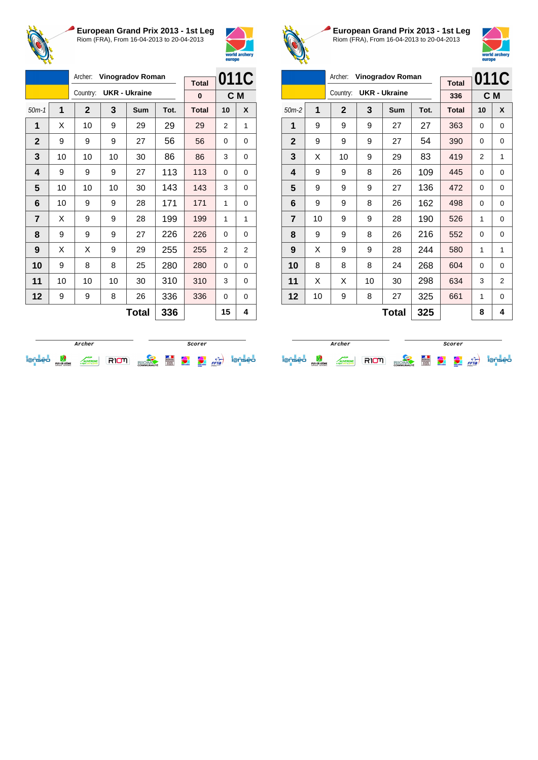



|                |    | Archer:      | <b>Vinogradov Roman</b> |                      |      |              | 011C           |   |
|----------------|----|--------------|-------------------------|----------------------|------|--------------|----------------|---|
|                |    |              |                         |                      |      | <b>Total</b> |                |   |
|                |    | Country:     |                         | <b>UKR - Ukraine</b> |      | 0            | C <sub>M</sub> |   |
| $50m-1$        | 1  | $\mathbf{2}$ | 3                       | Sum                  | Tot. | <b>Total</b> | 10             | X |
| 1              | X  | 10           | 9                       | 29                   | 29   | 29           | 2              | 1 |
| $\mathbf{2}$   | 9  | 9            | 9                       | 27                   | 56   | 56           | 0              | 0 |
| 3              | 10 | 10           | 10                      | 30                   | 86   | 86           | 3              | 0 |
| 4              | 9  | 9            | 9                       | 27                   | 113  | 113          | 0              | 0 |
| 5              | 10 | 10           | 10                      | 30                   | 143  | 143          | 3              | 0 |
| 6              | 10 | 9            | 9                       | 28                   | 171  | 171          | 1              | 0 |
| $\overline{7}$ | X  | 9            | 9                       | 28                   | 199  | 199          | 1              | 1 |
| 8              | 9  | 9            | 9                       | 27                   | 226  | 226          | 0              | 0 |
| 9              | X  | X            | 9                       | 29                   | 255  | 255          | 2              | 2 |
| 10             | 9  | 8            | 8                       | 25                   | 280  | 280          | $\Omega$       | 0 |
| 11             | 10 | 10           | 10                      | 30                   | 310  | 310          | 3              | 0 |
| 12             | 9  | 9            | 8                       | 26                   | 336  | 336          | 0              | 0 |
|                |    |              |                         | <b>Total</b>         | 336  |              | 15             | 4 |



**European Grand Prix 2013 - 1st Leg** Riom (FRA), From 16-04-2013 to 20-04-2013



| Archer:<br><b>Vinogradov Roman</b> |    |              |    |                      |      |              |          | 011C     |
|------------------------------------|----|--------------|----|----------------------|------|--------------|----------|----------|
|                                    |    |              |    |                      |      | <b>Total</b> |          |          |
|                                    |    | Country:     |    | <b>UKR - Ukraine</b> |      | 336          |          | C M      |
| $50m-2$                            | 1  | $\mathbf{2}$ | 3  | Sum                  | Tot. | <b>Total</b> | 10       | X        |
| 1                                  | 9  | 9            | 9  | 27                   | 27   | 363          | 0        | $\Omega$ |
| $\mathbf{2}$                       | 9  | 9            | 9  | 27                   | 54   | 390          | 0        | 0        |
| 3                                  | X  | 10           | 9  | 29                   | 83   | 419          | 2        | 1        |
| 4                                  | 9  | 9            | 8  | 26                   | 109  | 445          | 0        | $\Omega$ |
| 5                                  | 9  | 9            | 9  | 27                   | 136  | 472          | 0        | 0        |
| 6                                  | 9  | 9            | 8  | 26                   | 162  | 498          | 0        | 0        |
| $\overline{7}$                     | 10 | 9            | 9  | 28                   | 190  | 526          | 1        | $\Omega$ |
| 8                                  | 9  | 9            | 8  | 26                   | 216  | 552          | 0        | 0        |
| 9                                  | X  | 9            | 9  | 28                   | 244  | 580          | 1        | 1        |
| 10                                 | 8  | 8            | 8  | 24                   | 268  | 604          | $\Omega$ | $\Omega$ |
| 11                                 | X  | X            | 10 | 30                   | 298  | 634          | 3        | 2        |
| 12                                 | 10 | 9            | 8  | 27                   | 325  | 661          | 1        | 0        |
|                                    |    |              |    | <b>Total</b>         | 325  |              | 8        | 4        |

|   |                                |                             |  | Scorer            |   |                |               |      |    |
|---|--------------------------------|-----------------------------|--|-------------------|---|----------------|---------------|------|----|
| - | PUY-DE-DÔME<br>CONSEIL GENERAL | <b>ERGNE</b><br>sta e prend |  | <b>COMMUNAUTÉ</b> | E | <b>COMPANY</b> | <b>Horses</b> | FFTa | eо |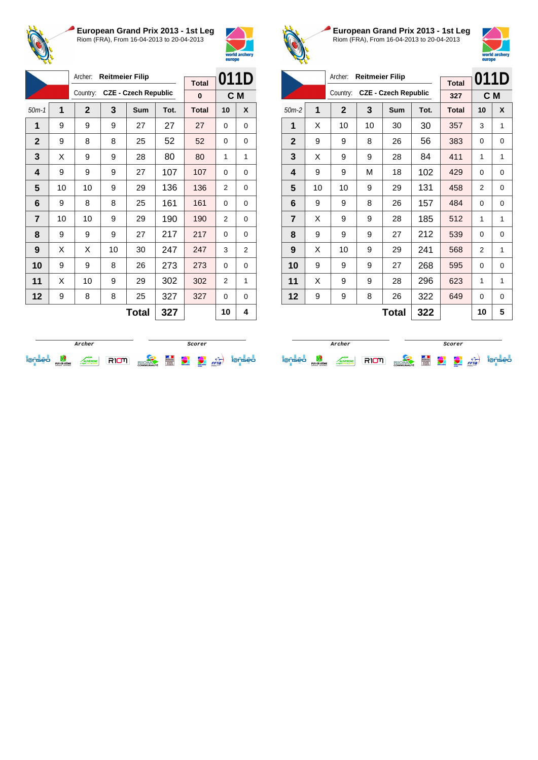



|                | Archer:<br><b>Reitmeier Filip</b> |              |    |                             |      |              | 011D     |                |
|----------------|-----------------------------------|--------------|----|-----------------------------|------|--------------|----------|----------------|
|                |                                   |              |    |                             |      | <b>Total</b> |          |                |
|                |                                   | Country:     |    | <b>CZE - Czech Republic</b> |      | 0            | C M      |                |
| $50m-1$        | 1                                 | $\mathbf{2}$ | 3  | Sum                         | Tot. | <b>Total</b> | 10       | X              |
| 1              | 9                                 | 9            | 9  | 27                          | 27   | 27           | $\Omega$ | 0              |
| $\mathbf{2}$   | 9                                 | 8            | 8  | 25                          | 52   | 52           | 0        | 0              |
| 3              | X                                 | 9            | 9  | 28                          | 80   | 80           | 1        | 1              |
| 4              | 9                                 | 9            | 9  | 27                          | 107  | 107          | 0        | 0              |
| 5              | 10                                | 10           | 9  | 29                          | 136  | 136          | 2        | 0              |
| 6              | 9                                 | 8            | 8  | 25                          | 161  | 161          | 0        | 0              |
| $\overline{7}$ | 10                                | 10           | 9  | 29                          | 190  | 190          | 2        | 0              |
| 8              | 9                                 | 9            | 9  | 27                          | 217  | 217          | $\Omega$ | 0              |
| 9              | X                                 | X            | 10 | 30                          | 247  | 247          | 3        | $\overline{2}$ |
| 10             | 9                                 | 9            | 8  | 26                          | 273  | 273          | $\Omega$ | 0              |
| 11             | X                                 | 10           | 9  | 29                          | 302  | 302          | 2        | 1              |
| 12             | 9                                 | 8            | 8  | 25                          | 327  | 327          | 0        | 0              |
|                |                                   |              |    | <b>Total</b>                | 327  |              | 10       | 4              |



**European Grand Prix 2013 - 1st Leg** Riom (FRA), From 16-04-2013 to 20-04-2013



|                |    | Archer:      | <b>Reitmeier Filip</b> |                             |      |              | 011D           |          |
|----------------|----|--------------|------------------------|-----------------------------|------|--------------|----------------|----------|
|                |    | Country:     |                        | <b>CZE - Czech Republic</b> |      | <b>Total</b> |                |          |
|                |    |              |                        |                             |      | 327          | C M            |          |
| $50m-2$        | 1  | $\mathbf{2}$ | 3                      | Sum                         | Tot. | <b>Total</b> | 10             | X        |
| 1              | X  | 10           | 10                     | 30                          | 30   | 357          | 3              | 1        |
| $\mathbf{2}$   | 9  | 9            | 8                      | 26                          | 56   | 383          | 0              | 0        |
| 3              | X  | 9            | 9                      | 28                          | 84   | 411          | 1              | 1        |
| 4              | 9  | 9            | М                      | 18                          | 102  | 429          | 0              | $\Omega$ |
| 5              | 10 | 10           | 9                      | 29                          | 131  | 458          | $\overline{2}$ | $\Omega$ |
| 6              | 9  | 9            | 8                      | 26                          | 157  | 484          | 0              | 0        |
| $\overline{7}$ | X  | 9            | 9                      | 28                          | 185  | 512          | 1              | 1        |
| 8              | 9  | 9            | 9                      | 27                          | 212  | 539          | 0              | 0        |
| 9              | X  | 10           | 9                      | 29                          | 241  | 568          | 2              | 1        |
| 10             | 9  | 9            | 9                      | 27                          | 268  | 595          | $\Omega$       | $\Omega$ |
| 11             | X  | 9            | 9                      | 28                          | 296  | 623          | 1              | 1        |
| 12             | 9  | 9            | 8                      | 26                          | 322  | 649          | 0              | 0        |
|                |    |              |                        | Total                       | 322  |              | 10             | 5        |

|   |                                |             |  | Scorer            |   |                       |                                 |      |    |
|---|--------------------------------|-------------|--|-------------------|---|-----------------------|---------------------------------|------|----|
| - | PUY-DE-DÔME<br>CONSEIL GENERAL | <b>RGNE</b> |  | <b>COMMUNAUTÉ</b> | Ë | <b>WANTED SCIENCE</b> | <b>ARCHIVE</b><br><b>Horses</b> | FFTa | eо |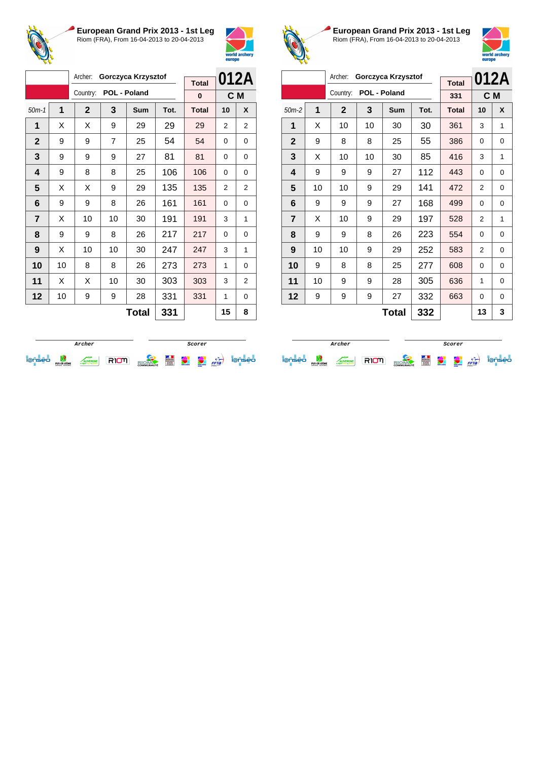



|                |    | Archer:      | Gorczyca Krzysztof |              |      |              | 012A           |                |
|----------------|----|--------------|--------------------|--------------|------|--------------|----------------|----------------|
|                |    |              |                    |              |      | <b>Total</b> |                |                |
|                |    | Country:     |                    | POL - Poland |      | 0            | C M            |                |
| $50m-1$        | 1  | $\mathbf{2}$ | 3                  | <b>Sum</b>   | Tot. | <b>Total</b> | 10             | X              |
| 1              | X  | X            | 9                  | 29           | 29   | 29           | 2              | 2              |
| $\mathbf{2}$   | 9  | 9            | $\overline{7}$     | 25           | 54   | 54           | $\Omega$       | 0              |
| 3              | 9  | 9            | 9                  | 27           | 81   | 81           | 0              | 0              |
| 4              | 9  | 8            | 8                  | 25           | 106  | 106          | 0              | 0              |
| 5              | X  | X            | 9                  | 29           | 135  | 135          | $\overline{2}$ | $\overline{2}$ |
| 6              | 9  | 9            | 8                  | 26           | 161  | 161          | 0              | 0              |
| $\overline{7}$ | X  | 10           | 10                 | 30           | 191  | 191          | 3              | 1              |
| 8              | 9  | 9            | 8                  | 26           | 217  | 217          | $\Omega$       | 0              |
| 9              | X  | 10           | 10                 | 30           | 247  | 247          | 3              | 1              |
| 10             | 10 | 8            | 8                  | 26           | 273  | 273          | 1              | 0              |
| 11             | X  | X            | 10                 | 30           | 303  | 303          | 3              | 2              |
| 12             | 10 | 9            | 9                  | 28           | 331  | 331          | 1              | 0              |
|                |    |              |                    | <b>Total</b> | 331  |              | 15             | 8              |



**European Grand Prix 2013 - 1st Leg** Riom (FRA), From 16-04-2013 to 20-04-2013



|              |    | Archer:<br>Gorczyca Krzysztof |              |              | 012A |              |                |          |
|--------------|----|-------------------------------|--------------|--------------|------|--------------|----------------|----------|
|              |    | Country:                      | POL - Poland |              |      | <b>Total</b> |                |          |
|              |    |                               |              |              |      | 331          |                | C M      |
| $50m-2$      | 1  | $\mathbf{2}$                  | 3            | Sum          | Tot. | <b>Total</b> | 10             | X        |
| 1            | X  | 10                            | 10           | 30           | 30   | 361          | 3              | 1        |
| $\mathbf{2}$ | 9  | 8                             | 8            | 25           | 55   | 386          | 0              | 0        |
| 3            | X  | 10                            | 10           | 30           | 85   | 416          | 3              | 1        |
| 4            | 9  | 9                             | 9            | 27           | 112  | 443          | 0              | $\Omega$ |
| 5            | 10 | 10                            | 9            | 29           | 141  | 472          | 2              | 0        |
| 6            | 9  | 9                             | 9            | 27           | 168  | 499          | 0              | 0        |
| 7            | X  | 10                            | 9            | 29           | 197  | 528          | $\overline{2}$ | 1        |
| 8            | 9  | 9                             | 8            | 26           | 223  | 554          | 0              | 0        |
| 9            | 10 | 10                            | 9            | 29           | 252  | 583          | 2              | 0        |
| 10           | 9  | 8                             | 8            | 25           | 277  | 608          | 0              | $\Omega$ |
| 11           | 10 | 9                             | 9            | 28           | 305  | 636          | 1              | $\Omega$ |
| 12           | 9  | 9                             | 9            | 27           | 332  | 663          | $\Omega$       | $\Omega$ |
|              |    |                               |              | <b>Total</b> | 332  |              | 13             | 3        |

|  |                                |                 |  | Scorer            |                 |            |                                    |      |    |
|--|--------------------------------|-----------------|--|-------------------|-----------------|------------|------------------------------------|------|----|
|  | PUY-DE-DÔME<br>CONSEIL GENERAL | <b>LIVERGNE</b> |  | <b>COMMUNAUTÉ</b> | <b>STANDARD</b> | weld ander | <b>CONTRACTOR</b><br><b>ANTING</b> | FFTa | eо |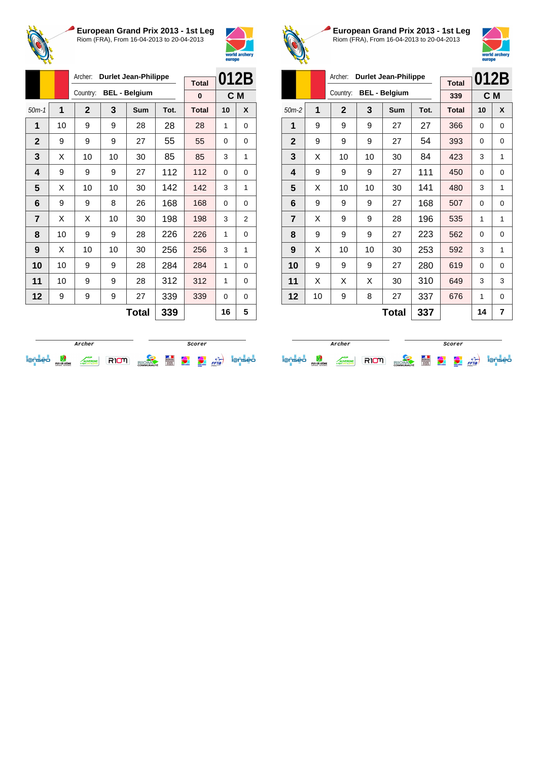



|                |    | Archer:<br><b>Durlet Jean-Philippe</b> |              |                      |      |              | 012B     |   |
|----------------|----|----------------------------------------|--------------|----------------------|------|--------------|----------|---|
|                |    | Country:                               | <b>Total</b> |                      |      |              |          |   |
|                |    |                                        |              | <b>BEL - Belgium</b> |      | $\bf{0}$     | C M      |   |
| $50m-1$        | 1  | $\overline{2}$                         | 3            | Sum                  | Tot. | <b>Total</b> | 10       | X |
| 1              | 10 | 9                                      | 9            | 28                   | 28   | 28           | 1        | 0 |
| $\mathbf{2}$   | 9  | 9                                      | 9            | 27                   | 55   | 55           | 0        | 0 |
| 3              | X  | 10                                     | 10           | 30                   | 85   | 85           | 3        | 1 |
| 4              | 9  | 9                                      | 9            | 27                   | 112  | 112          | $\Omega$ | 0 |
| 5              | X  | 10                                     | 10           | 30                   | 142  | 142          | 3        | 1 |
| 6              | 9  | 9                                      | 8            | 26                   | 168  | 168          | 0        | 0 |
| $\overline{7}$ | X  | X                                      | 10           | 30                   | 198  | 198          | 3        | 2 |
| 8              | 10 | 9                                      | 9            | 28                   | 226  | 226          | 1        | 0 |
| 9              | X  | 10                                     | 10           | 30                   | 256  | 256          | 3        | 1 |
| 10             | 10 | 9                                      | 9            | 28                   | 284  | 284          | 1        | 0 |
| 11             | 10 | 9                                      | 9            | 28                   | 312  | 312          | 1        | 0 |
| 12             | 9  | 9                                      | 9            | 27                   | 339  | 339          | 0        | 0 |
|                |    |                                        |              | <b>Total</b>         | 339  |              | 16       | 5 |



**European Grand Prix 2013 - 1st Leg** Riom (FRA), From 16-04-2013 to 20-04-2013



|                |    | Archer:      | 012B                        |                      |      |              |    |     |
|----------------|----|--------------|-----------------------------|----------------------|------|--------------|----|-----|
|                |    |              | <b>Durlet Jean-Philippe</b> | <b>Total</b>         |      |              |    |     |
|                |    | Country:     |                             | <b>BEL - Belgium</b> |      | 339          |    | C M |
| $50m-2$        | 1  | $\mathbf{2}$ | 3                           | <b>Sum</b>           | Tot. | <b>Total</b> | 10 | X   |
| 1              | 9  | 9            | 9                           | 27                   | 27   | 366          | 0  | 0   |
| $\mathbf{2}$   | 9  | 9            | 9                           | 27                   | 54   | 393          | 0  | 0   |
| 3              | X  | 10           | 10                          | 30                   | 84   | 423          | 3  | 1   |
| 4              | 9  | 9            | 9                           | 27                   | 111  | 450          | 0  | 0   |
| 5              | X  | 10           | 10                          | 30                   | 141  | 480          | 3  | 1   |
| 6              | 9  | 9            | 9                           | 27                   | 168  | 507          | 0  | 0   |
| $\overline{7}$ | X  | 9            | 9                           | 28                   | 196  | 535          | 1  | 1   |
| 8              | 9  | 9            | 9                           | 27                   | 223  | 562          | 0  | 0   |
| 9              | X  | 10           | 10                          | 30                   | 253  | 592          | 3  | 1   |
| 10             | 9  | 9            | 9                           | 27                   | 280  | 619          | 0  | 0   |
| 11             | X  | X            | X                           | 30                   | 310  | 649          | 3  | 3   |
| 12             | 10 | 9            | 8                           | 27                   | 337  | 676          | 1  | 0   |
|                |    |              |                             | Total                | 337  |              | 14 | 7   |

|                                    | Archer                         |               |  |                   |   |              | Scorer                           |      |    |
|------------------------------------|--------------------------------|---------------|--|-------------------|---|--------------|----------------------------------|------|----|
| $\sim$<br>$\overline{\phantom{a}}$ | PUY-DE-DÔME<br>CONSEIL GENERAL | <b>TERGNE</b> |  | <b>COMMUNAUTÉ</b> | Ë | weld and ser | <b>COMMERCE</b><br><b>Horses</b> | FFTa | eо |